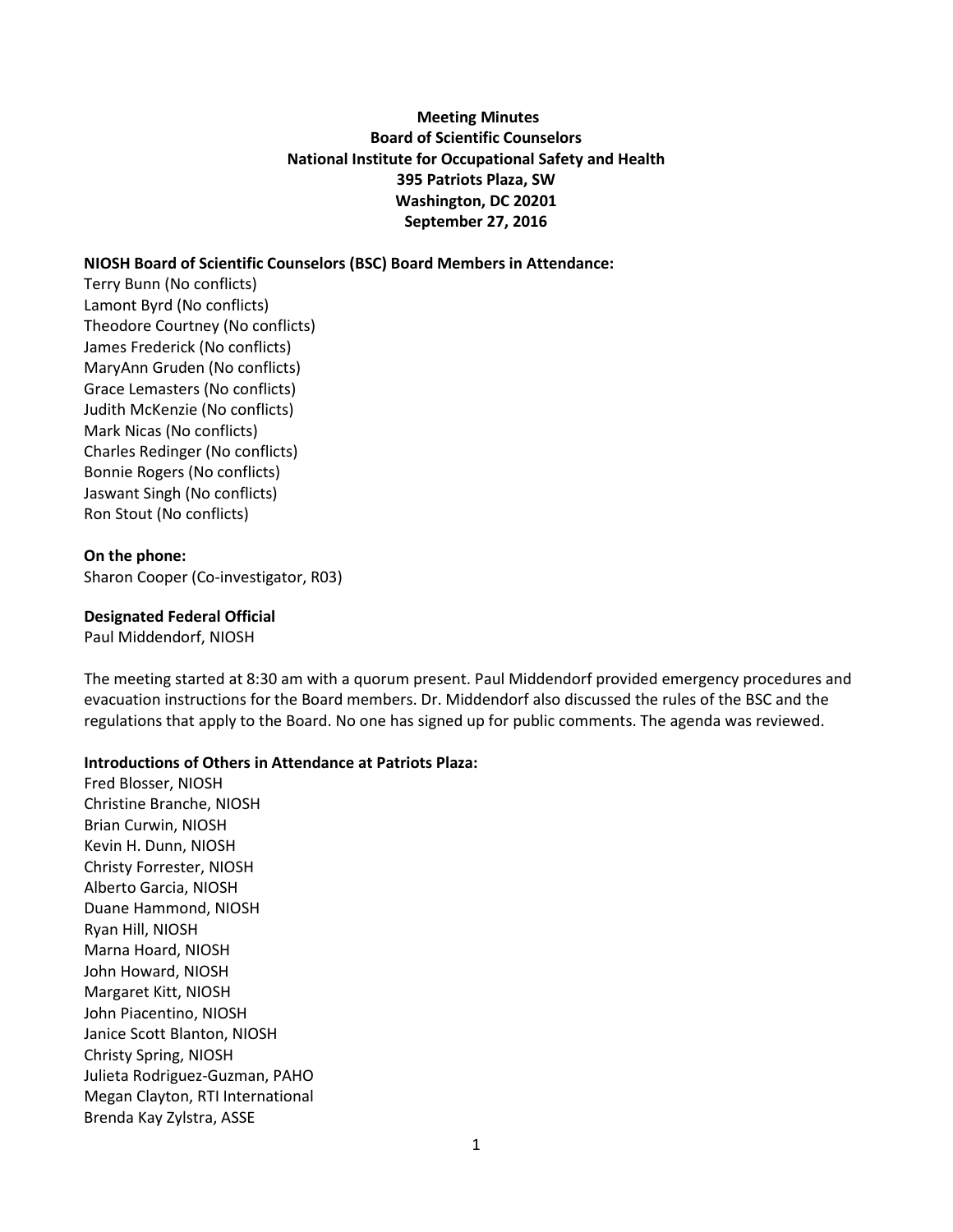### **Meeting Minutes Board of Scientific Counselors National Institute for Occupational Safety and Health 395 Patriots Plaza, SW Washington, DC 20201 September 27, 2016**

#### **NIOSH Board of Scientific Counselors (BSC) Board Members in Attendance:**

Terry Bunn (No conflicts) Lamont Byrd (No conflicts) Theodore Courtney (No conflicts) James Frederick (No conflicts) MaryAnn Gruden (No conflicts) Grace Lemasters (No conflicts) Judith McKenzie (No conflicts) Mark Nicas (No conflicts) Charles Redinger (No conflicts) Bonnie Rogers (No conflicts) Jaswant Singh (No conflicts) Ron Stout (No conflicts)

#### **On the phone:**

Sharon Cooper (Co-investigator, R03)

#### **Designated Federal Official**

Paul Middendorf, NIOSH

The meeting started at 8:30 am with a quorum present. Paul Middendorf provided emergency procedures and evacuation instructions for the Board members. Dr. Middendorf also discussed the rules of the BSC and the regulations that apply to the Board. No one has signed up for public comments. The agenda was reviewed.

#### **Introductions of Others in Attendance at Patriots Plaza:**

Fred Blosser, NIOSH Christine Branche, NIOSH Brian Curwin, NIOSH Kevin H. Dunn, NIOSH Christy Forrester, NIOSH Alberto Garcia, NIOSH Duane Hammond, NIOSH Ryan Hill, NIOSH Marna Hoard, NIOSH John Howard, NIOSH Margaret Kitt, NIOSH John Piacentino, NIOSH Janice Scott Blanton, NIOSH Christy Spring, NIOSH Julieta Rodriguez-Guzman, PAHO Megan Clayton, RTI International Brenda Kay Zylstra, ASSE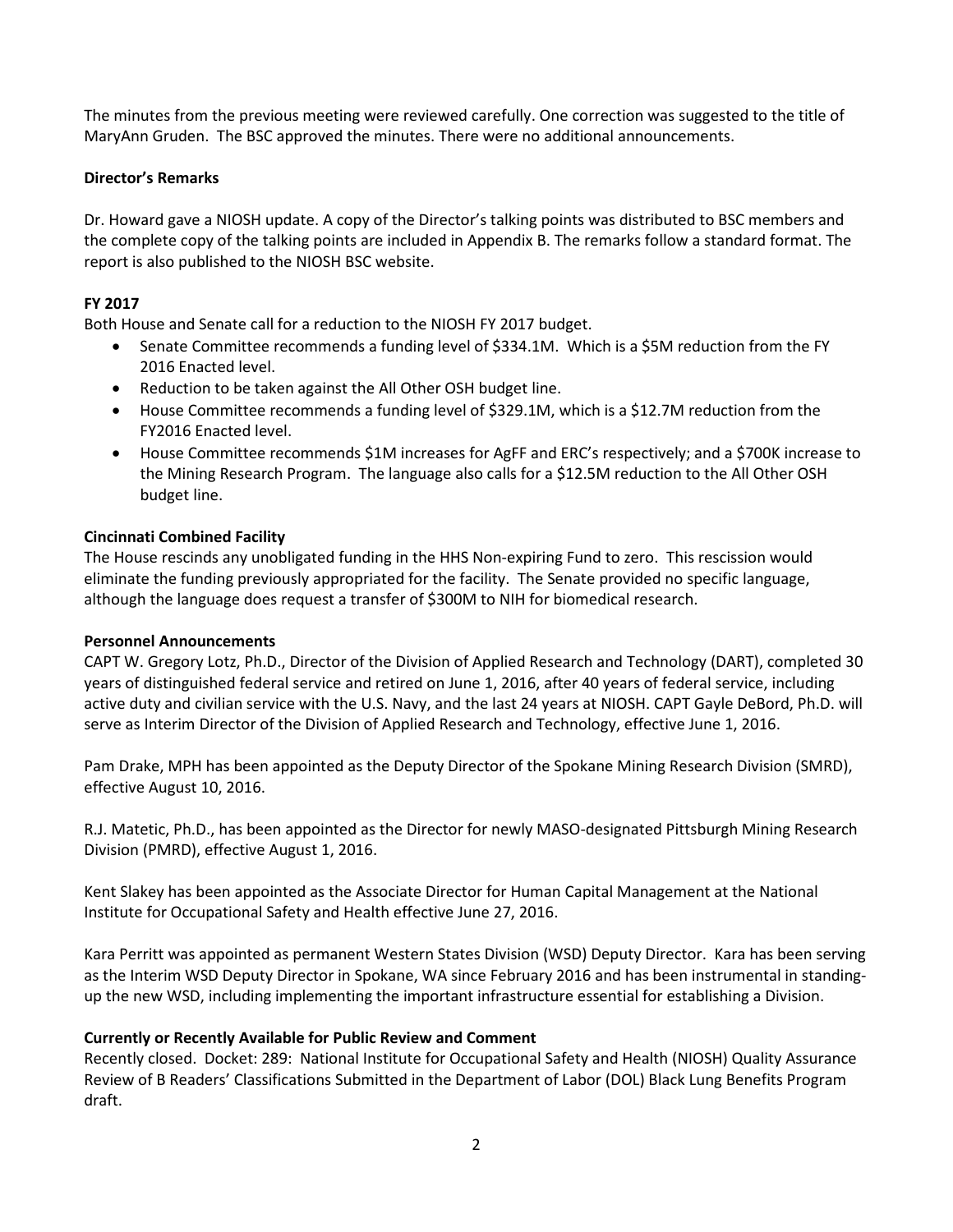The minutes from the previous meeting were reviewed carefully. One correction was suggested to the title of MaryAnn Gruden. The BSC approved the minutes. There were no additional announcements.

### **Director's Remarks**

Dr. Howard gave a NIOSH update. A copy of the Director's talking points was distributed to BSC members and the complete copy of the talking points are included in Appendix B. The remarks follow a standard format. The report is also published to the NIOSH BSC website.

### **FY 2017**

Both House and Senate call for a reduction to the NIOSH FY 2017 budget.

- Senate Committee recommends a funding level of \$334.1M. Which is a \$5M reduction from the FY 2016 Enacted level.
- Reduction to be taken against the All Other OSH budget line.
- House Committee recommends a funding level of \$329.1M, which is a \$12.7M reduction from the FY2016 Enacted level.
- House Committee recommends \$1M increases for AgFF and ERC's respectively; and a \$700K increase to the Mining Research Program. The language also calls for a \$12.5M reduction to the All Other OSH budget line.

#### **Cincinnati Combined Facility**

The House rescinds any unobligated funding in the HHS Non-expiring Fund to zero. This rescission would eliminate the funding previously appropriated for the facility. The Senate provided no specific language, although the language does request a transfer of \$300M to NIH for biomedical research.

#### **Personnel Announcements**

CAPT W. Gregory Lotz, Ph.D., Director of the Division of Applied Research and Technology (DART), completed 30 years of distinguished federal service and retired on June 1, 2016, after 40 years of federal service, including active duty and civilian service with the U.S. Navy, and the last 24 years at NIOSH. CAPT Gayle DeBord, Ph.D. will serve as Interim Director of the Division of Applied Research and Technology, effective June 1, 2016.

Pam Drake, MPH has been appointed as the Deputy Director of the Spokane Mining Research Division (SMRD), effective August 10, 2016.

R.J. Matetic, Ph.D., has been appointed as the Director for newly MASO-designated Pittsburgh Mining Research Division (PMRD), effective August 1, 2016.

Kent Slakey has been appointed as the Associate Director for Human Capital Management at the National Institute for Occupational Safety and Health effective June 27, 2016.

Kara Perritt was appointed as permanent Western States Division (WSD) Deputy Director. Kara has been serving as the Interim WSD Deputy Director in Spokane, WA since February 2016 and has been instrumental in standingup the new WSD, including implementing the important infrastructure essential for establishing a Division.

#### **Currently or Recently Available for Public Review and Comment**

Recently closed. Docket: 289: National Institute for Occupational Safety and Health (NIOSH) Quality Assurance Review of B Readers' Classifications Submitted in the Department of Labor (DOL) Black Lung Benefits Program draft.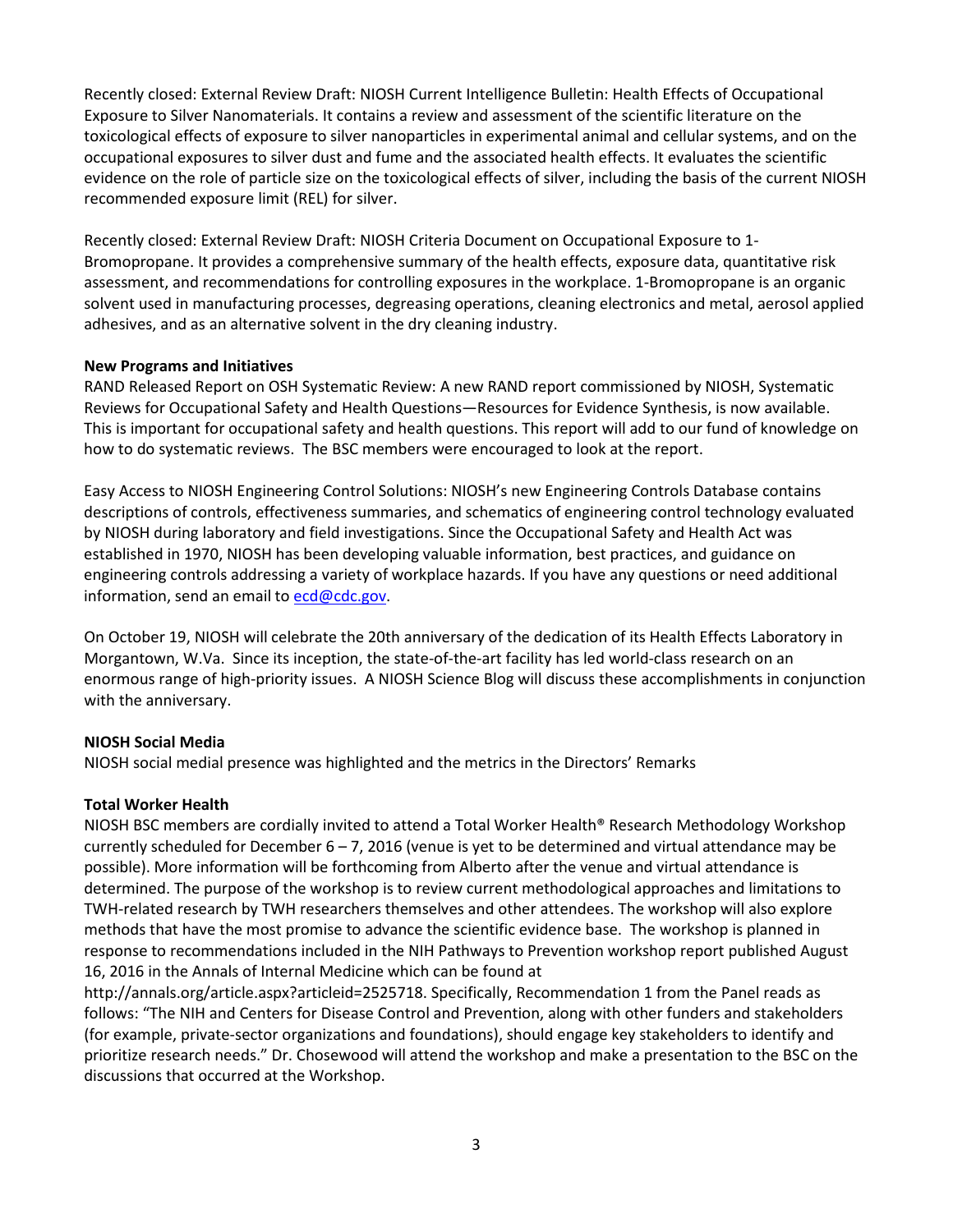Recently closed: External Review Draft: NIOSH Current Intelligence Bulletin: Health Effects of Occupational Exposure to Silver Nanomaterials. It contains a review and assessment of the scientific literature on the toxicological effects of exposure to silver nanoparticles in experimental animal and cellular systems, and on the occupational exposures to silver dust and fume and the associated health effects. It evaluates the scientific evidence on the role of particle size on the toxicological effects of silver, including the basis of the current NIOSH recommended exposure limit (REL) for silver.

Recently closed: External Review Draft: NIOSH Criteria Document on Occupational Exposure to 1- Bromopropane. It provides a comprehensive summary of the health effects, exposure data, quantitative risk assessment, and recommendations for controlling exposures in the workplace. 1-Bromopropane is an organic solvent used in manufacturing processes, degreasing operations, cleaning electronics and metal, aerosol applied adhesives, and as an alternative solvent in the dry cleaning industry.

#### **New Programs and Initiatives**

RAND Released Report on OSH Systematic Review: A new RAND report commissioned by NIOSH, Systematic Reviews for Occupational Safety and Health Questions—Resources for Evidence Synthesis, is now available. This is important for occupational safety and health questions. This report will add to our fund of knowledge on how to do systematic reviews. The BSC members were encouraged to look at the report.

Easy Access to NIOSH Engineering Control Solutions: NIOSH's new Engineering Controls Database contains descriptions of controls, effectiveness summaries, and schematics of engineering control technology evaluated by NIOSH during laboratory and field investigations. Since the Occupational Safety and Health Act was established in 1970, NIOSH has been developing valuable information, best practices, and guidance on engineering controls addressing a variety of workplace hazards. If you have any questions or need additional information, send an email to  $ecd@cdc.gov$ .

On October 19, NIOSH will celebrate the 20th anniversary of the dedication of its Health Effects Laboratory in Morgantown, W.Va. Since its inception, the state-of-the-art facility has led world-class research on an enormous range of high-priority issues. A NIOSH Science Blog will discuss these accomplishments in conjunction with the anniversary.

#### **NIOSH Social Media**

NIOSH social medial presence was highlighted and the metrics in the Directors' Remarks

#### **Total Worker Health**

NIOSH BSC members are cordially invited to attend a Total Worker Health® Research Methodology Workshop currently scheduled for December  $6 - 7$ , 2016 (venue is yet to be determined and virtual attendance may be possible). More information will be forthcoming from Alberto after the venue and virtual attendance is determined. The purpose of the workshop is to review current methodological approaches and limitations to TWH-related research by TWH researchers themselves and other attendees. The workshop will also explore methods that have the most promise to advance the scientific evidence base. The workshop is planned in response to recommendations included in the NIH Pathways to Prevention workshop report published August 16, 2016 in the Annals of Internal Medicine which can be found at

http://annals.org/article.aspx?articleid=2525718. Specifically, Recommendation 1 from the Panel reads as follows: "The NIH and Centers for Disease Control and Prevention, along with other funders and stakeholders (for example, private-sector organizations and foundations), should engage key stakeholders to identify and prioritize research needs." Dr. Chosewood will attend the workshop and make a presentation to the BSC on the discussions that occurred at the Workshop.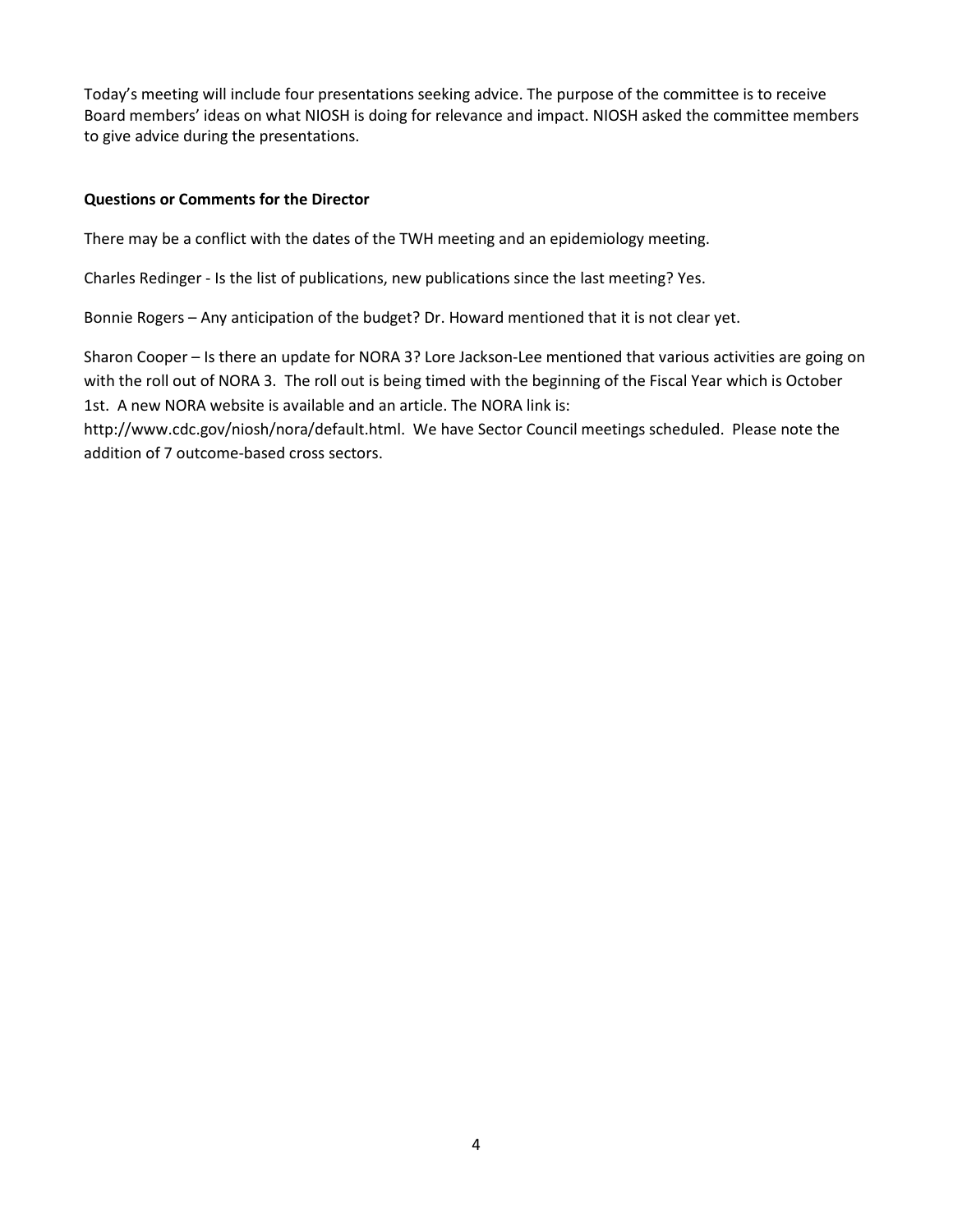Today's meeting will include four presentations seeking advice. The purpose of the committee is to receive Board members' ideas on what NIOSH is doing for relevance and impact. NIOSH asked the committee members to give advice during the presentations.

#### **Questions or Comments for the Director**

There may be a conflict with the dates of the TWH meeting and an epidemiology meeting.

Charles Redinger - Is the list of publications, new publications since the last meeting? Yes.

Bonnie Rogers – Any anticipation of the budget? Dr. Howard mentioned that it is not clear yet.

Sharon Cooper – Is there an update for NORA 3? Lore Jackson-Lee mentioned that various activities are going on with the roll out of NORA 3. The roll out is being timed with the beginning of the Fiscal Year which is October 1st. A new NORA website is available and an article. The NORA link is:

http://www.cdc.gov/niosh/nora/default.html. We have Sector Council meetings scheduled. Please note the addition of 7 outcome-based cross sectors.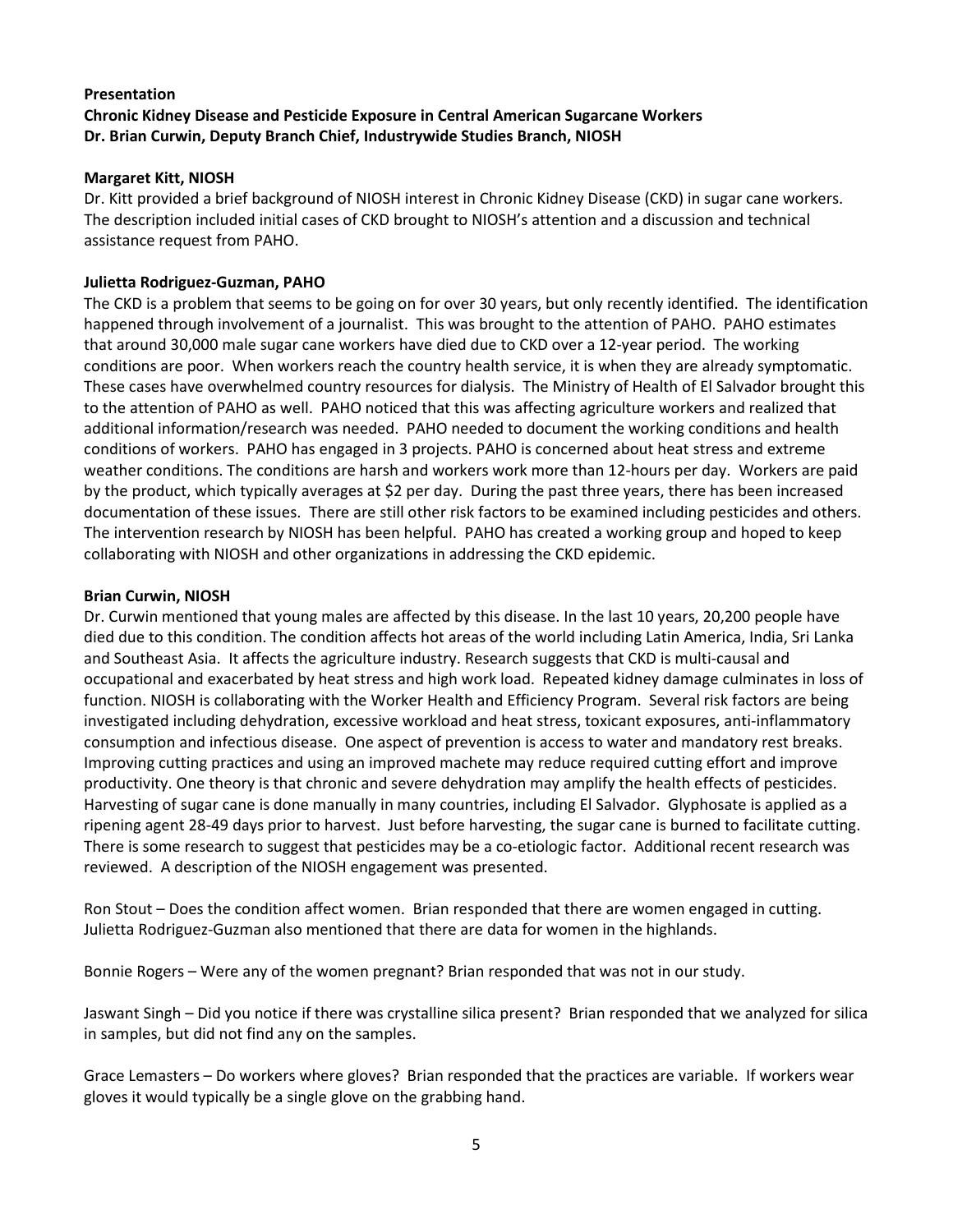### **Presentation Chronic Kidney Disease and Pesticide Exposure in Central American Sugarcane Workers Dr. Brian Curwin, Deputy Branch Chief, Industrywide Studies Branch, NIOSH**

#### **Margaret Kitt, NIOSH**

Dr. Kitt provided a brief background of NIOSH interest in Chronic Kidney Disease (CKD) in sugar cane workers. The description included initial cases of CKD brought to NIOSH's attention and a discussion and technical assistance request from PAHO.

### **Julietta Rodriguez-Guzman, PAHO**

The CKD is a problem that seems to be going on for over 30 years, but only recently identified. The identification happened through involvement of a journalist. This was brought to the attention of PAHO. PAHO estimates that around 30,000 male sugar cane workers have died due to CKD over a 12-year period. The working conditions are poor. When workers reach the country health service, it is when they are already symptomatic. These cases have overwhelmed country resources for dialysis. The Ministry of Health of El Salvador brought this to the attention of PAHO as well. PAHO noticed that this was affecting agriculture workers and realized that additional information/research was needed. PAHO needed to document the working conditions and health conditions of workers. PAHO has engaged in 3 projects. PAHO is concerned about heat stress and extreme weather conditions. The conditions are harsh and workers work more than 12-hours per day. Workers are paid by the product, which typically averages at \$2 per day. During the past three years, there has been increased documentation of these issues. There are still other risk factors to be examined including pesticides and others. The intervention research by NIOSH has been helpful. PAHO has created a working group and hoped to keep collaborating with NIOSH and other organizations in addressing the CKD epidemic.

#### **Brian Curwin, NIOSH**

Dr. Curwin mentioned that young males are affected by this disease. In the last 10 years, 20,200 people have died due to this condition. The condition affects hot areas of the world including Latin America, India, Sri Lanka and Southeast Asia. It affects the agriculture industry. Research suggests that CKD is multi-causal and occupational and exacerbated by heat stress and high work load. Repeated kidney damage culminates in loss of function. NIOSH is collaborating with the Worker Health and Efficiency Program. Several risk factors are being investigated including dehydration, excessive workload and heat stress, toxicant exposures, anti-inflammatory consumption and infectious disease. One aspect of prevention is access to water and mandatory rest breaks. Improving cutting practices and using an improved machete may reduce required cutting effort and improve productivity. One theory is that chronic and severe dehydration may amplify the health effects of pesticides. Harvesting of sugar cane is done manually in many countries, including El Salvador. Glyphosate is applied as a ripening agent 28-49 days prior to harvest. Just before harvesting, the sugar cane is burned to facilitate cutting. There is some research to suggest that pesticides may be a co-etiologic factor. Additional recent research was reviewed. A description of the NIOSH engagement was presented.

Ron Stout – Does the condition affect women. Brian responded that there are women engaged in cutting. Julietta Rodriguez-Guzman also mentioned that there are data for women in the highlands.

Bonnie Rogers – Were any of the women pregnant? Brian responded that was not in our study.

Jaswant Singh – Did you notice if there was crystalline silica present? Brian responded that we analyzed for silica in samples, but did not find any on the samples.

Grace Lemasters – Do workers where gloves? Brian responded that the practices are variable. If workers wear gloves it would typically be a single glove on the grabbing hand.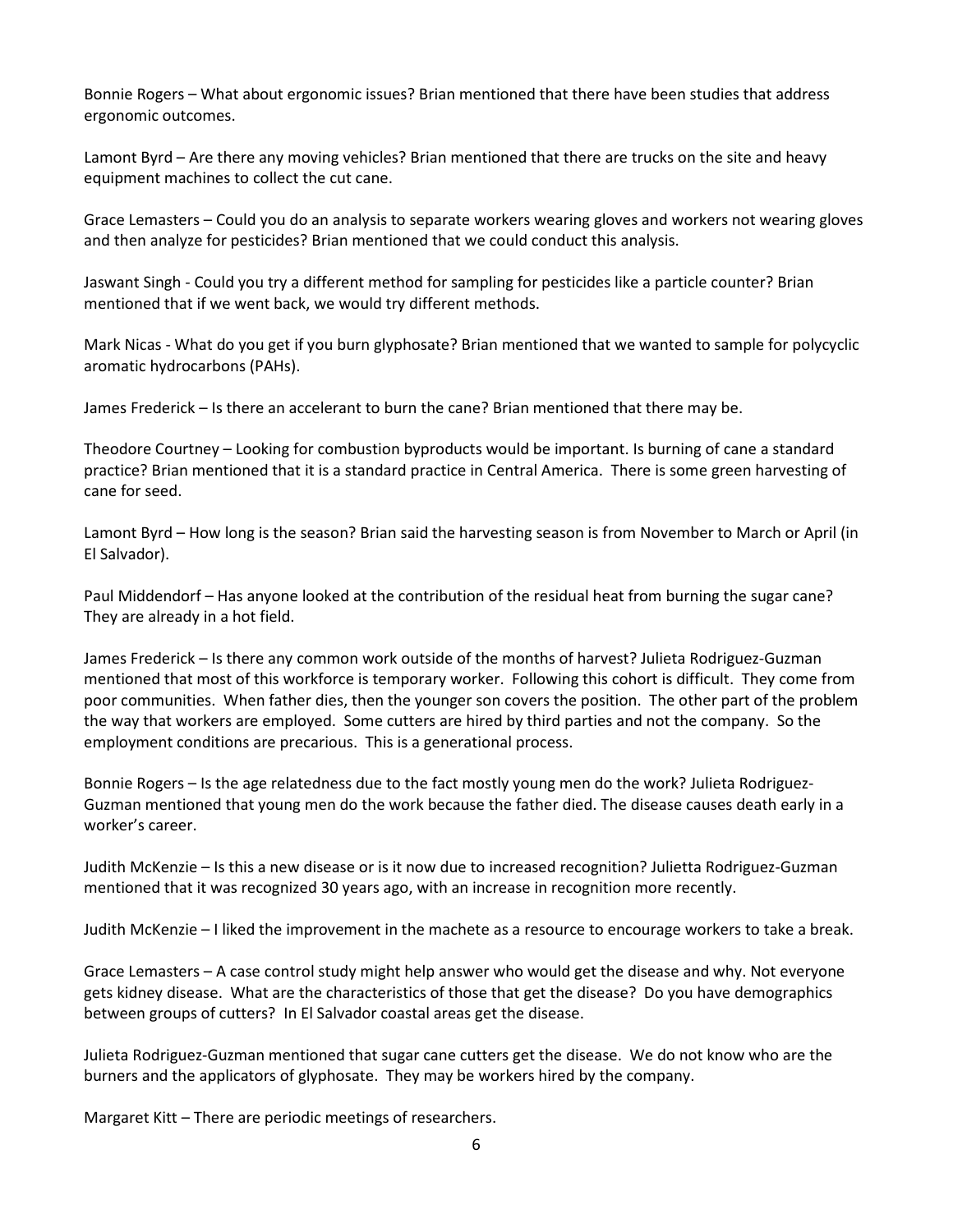Bonnie Rogers – What about ergonomic issues? Brian mentioned that there have been studies that address ergonomic outcomes.

Lamont Byrd – Are there any moving vehicles? Brian mentioned that there are trucks on the site and heavy equipment machines to collect the cut cane.

Grace Lemasters – Could you do an analysis to separate workers wearing gloves and workers not wearing gloves and then analyze for pesticides? Brian mentioned that we could conduct this analysis.

Jaswant Singh - Could you try a different method for sampling for pesticides like a particle counter? Brian mentioned that if we went back, we would try different methods.

Mark Nicas - What do you get if you burn glyphosate? Brian mentioned that we wanted to sample for polycyclic aromatic hydrocarbons (PAHs).

James Frederick – Is there an accelerant to burn the cane? Brian mentioned that there may be.

Theodore Courtney – Looking for combustion byproducts would be important. Is burning of cane a standard practice? Brian mentioned that it is a standard practice in Central America. There is some green harvesting of cane for seed.

Lamont Byrd – How long is the season? Brian said the harvesting season is from November to March or April (in El Salvador).

Paul Middendorf – Has anyone looked at the contribution of the residual heat from burning the sugar cane? They are already in a hot field.

James Frederick – Is there any common work outside of the months of harvest? Julieta Rodriguez-Guzman mentioned that most of this workforce is temporary worker. Following this cohort is difficult. They come from poor communities. When father dies, then the younger son covers the position. The other part of the problem the way that workers are employed. Some cutters are hired by third parties and not the company. So the employment conditions are precarious. This is a generational process.

Bonnie Rogers – Is the age relatedness due to the fact mostly young men do the work? Julieta Rodriguez-Guzman mentioned that young men do the work because the father died. The disease causes death early in a worker's career.

Judith McKenzie – Is this a new disease or is it now due to increased recognition? Julietta Rodriguez-Guzman mentioned that it was recognized 30 years ago, with an increase in recognition more recently.

Judith McKenzie – I liked the improvement in the machete as a resource to encourage workers to take a break.

Grace Lemasters – A case control study might help answer who would get the disease and why. Not everyone gets kidney disease. What are the characteristics of those that get the disease? Do you have demographics between groups of cutters? In El Salvador coastal areas get the disease.

Julieta Rodriguez-Guzman mentioned that sugar cane cutters get the disease. We do not know who are the burners and the applicators of glyphosate. They may be workers hired by the company.

Margaret Kitt – There are periodic meetings of researchers.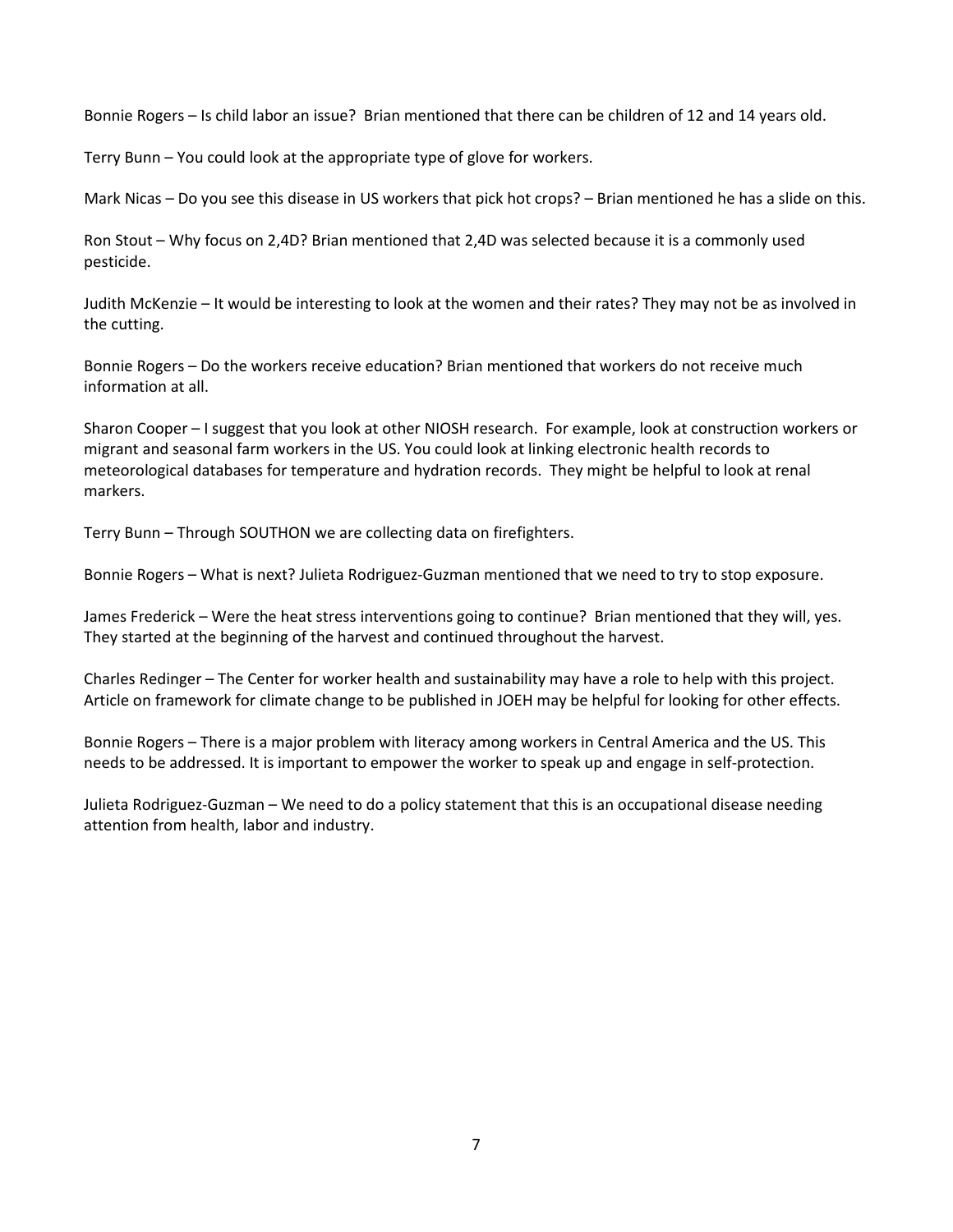Bonnie Rogers – Is child labor an issue? Brian mentioned that there can be children of 12 and 14 years old.

Terry Bunn – You could look at the appropriate type of glove for workers.

Mark Nicas – Do you see this disease in US workers that pick hot crops? – Brian mentioned he has a slide on this.

Ron Stout – Why focus on 2,4D? Brian mentioned that 2,4D was selected because it is a commonly used pesticide.

Judith McKenzie – It would be interesting to look at the women and their rates? They may not be as involved in the cutting.

Bonnie Rogers – Do the workers receive education? Brian mentioned that workers do not receive much information at all.

Sharon Cooper – I suggest that you look at other NIOSH research. For example, look at construction workers or migrant and seasonal farm workers in the US. You could look at linking electronic health records to meteorological databases for temperature and hydration records. They might be helpful to look at renal markers.

Terry Bunn – Through SOUTHON we are collecting data on firefighters.

Bonnie Rogers – What is next? Julieta Rodriguez-Guzman mentioned that we need to try to stop exposure.

James Frederick – Were the heat stress interventions going to continue? Brian mentioned that they will, yes. They started at the beginning of the harvest and continued throughout the harvest.

Charles Redinger – The Center for worker health and sustainability may have a role to help with this project. Article on framework for climate change to be published in JOEH may be helpful for looking for other effects.

Bonnie Rogers – There is a major problem with literacy among workers in Central America and the US. This needs to be addressed. It is important to empower the worker to speak up and engage in self-protection.

Julieta Rodriguez-Guzman – We need to do a policy statement that this is an occupational disease needing attention from health, labor and industry.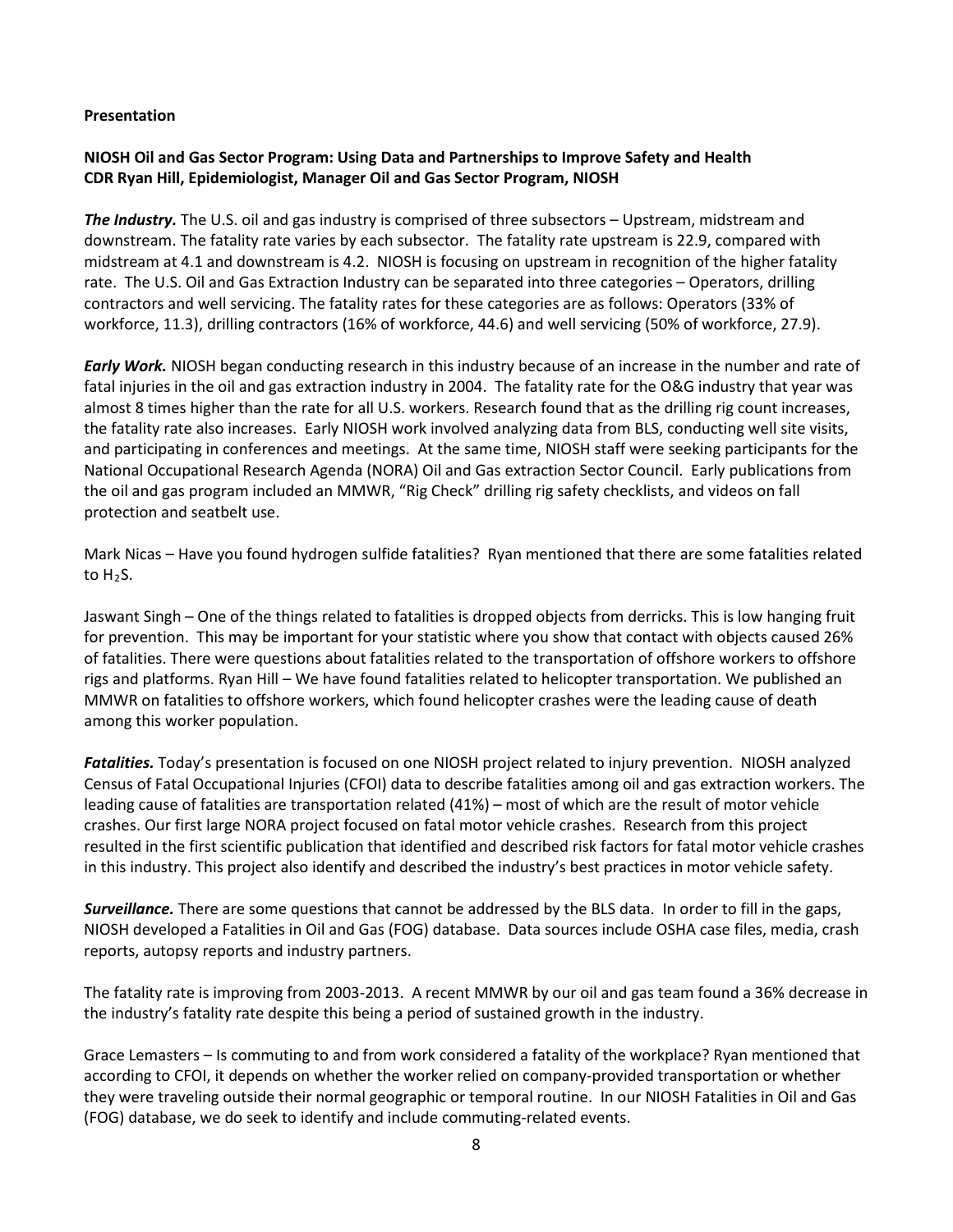#### **Presentation**

### **NIOSH Oil and Gas Sector Program: Using Data and Partnerships to Improve Safety and Health CDR Ryan Hill, Epidemiologist, Manager Oil and Gas Sector Program, NIOSH**

*The Industry.* The U.S. oil and gas industry is comprised of three subsectors – Upstream, midstream and downstream. The fatality rate varies by each subsector. The fatality rate upstream is 22.9, compared with midstream at 4.1 and downstream is 4.2. NIOSH is focusing on upstream in recognition of the higher fatality rate. The U.S. Oil and Gas Extraction Industry can be separated into three categories – Operators, drilling contractors and well servicing. The fatality rates for these categories are as follows: Operators (33% of workforce, 11.3), drilling contractors (16% of workforce, 44.6) and well servicing (50% of workforce, 27.9).

*Early Work.* NIOSH began conducting research in this industry because of an increase in the number and rate of fatal injuries in the oil and gas extraction industry in 2004. The fatality rate for the O&G industry that year was almost 8 times higher than the rate for all U.S. workers. Research found that as the drilling rig count increases, the fatality rate also increases. Early NIOSH work involved analyzing data from BLS, conducting well site visits, and participating in conferences and meetings. At the same time, NIOSH staff were seeking participants for the National Occupational Research Agenda (NORA) Oil and Gas extraction Sector Council. Early publications from the oil and gas program included an MMWR, "Rig Check" drilling rig safety checklists, and videos on fall protection and seatbelt use.

Mark Nicas – Have you found hydrogen sulfide fatalities? Ryan mentioned that there are some fatalities related to  $H_2S$ .

Jaswant Singh – One of the things related to fatalities is dropped objects from derricks. This is low hanging fruit for prevention. This may be important for your statistic where you show that contact with objects caused 26% of fatalities. There were questions about fatalities related to the transportation of offshore workers to offshore rigs and platforms. Ryan Hill – We have found fatalities related to helicopter transportation. We published an MMWR on fatalities to offshore workers, which found helicopter crashes were the leading cause of death among this worker population.

*Fatalities.* Today's presentation is focused on one NIOSH project related to injury prevention. NIOSH analyzed Census of Fatal Occupational Injuries (CFOI) data to describe fatalities among oil and gas extraction workers. The leading cause of fatalities are transportation related (41%) – most of which are the result of motor vehicle crashes. Our first large NORA project focused on fatal motor vehicle crashes. Research from this project resulted in the first scientific publication that identified and described risk factors for fatal motor vehicle crashes in this industry. This project also identify and described the industry's best practices in motor vehicle safety.

*Surveillance.* There are some questions that cannot be addressed by the BLS data. In order to fill in the gaps, NIOSH developed a Fatalities in Oil and Gas (FOG) database. Data sources include OSHA case files, media, crash reports, autopsy reports and industry partners.

The fatality rate is improving from 2003-2013. A recent MMWR by our oil and gas team found a 36% decrease in the industry's fatality rate despite this being a period of sustained growth in the industry.

Grace Lemasters – Is commuting to and from work considered a fatality of the workplace? Ryan mentioned that according to CFOI, it depends on whether the worker relied on company-provided transportation or whether they were traveling outside their normal geographic or temporal routine. In our NIOSH Fatalities in Oil and Gas (FOG) database, we do seek to identify and include commuting-related events.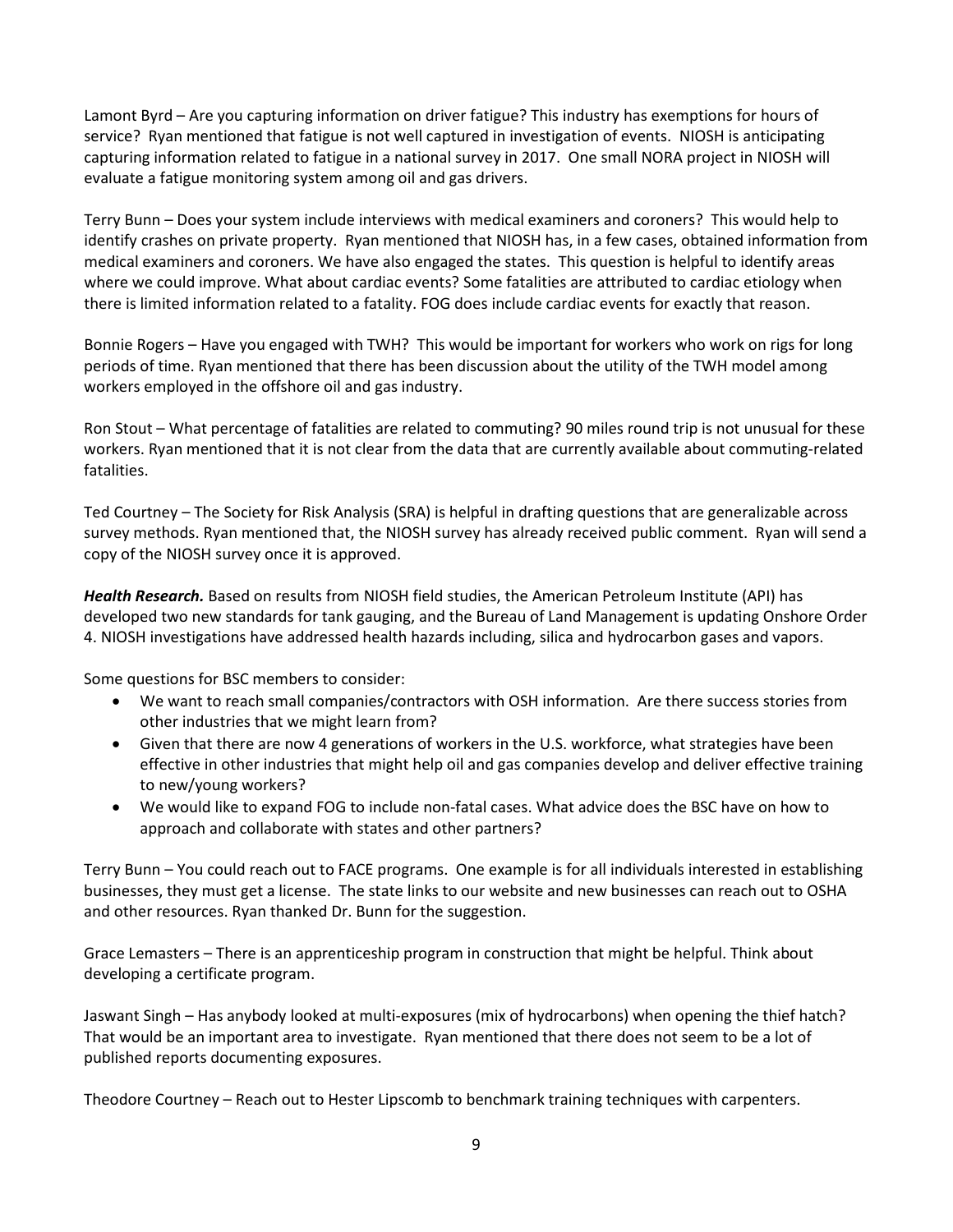Lamont Byrd – Are you capturing information on driver fatigue? This industry has exemptions for hours of service? Ryan mentioned that fatigue is not well captured in investigation of events. NIOSH is anticipating capturing information related to fatigue in a national survey in 2017. One small NORA project in NIOSH will evaluate a fatigue monitoring system among oil and gas drivers.

Terry Bunn – Does your system include interviews with medical examiners and coroners? This would help to identify crashes on private property. Ryan mentioned that NIOSH has, in a few cases, obtained information from medical examiners and coroners. We have also engaged the states. This question is helpful to identify areas where we could improve. What about cardiac events? Some fatalities are attributed to cardiac etiology when there is limited information related to a fatality. FOG does include cardiac events for exactly that reason.

Bonnie Rogers – Have you engaged with TWH? This would be important for workers who work on rigs for long periods of time. Ryan mentioned that there has been discussion about the utility of the TWH model among workers employed in the offshore oil and gas industry.

Ron Stout – What percentage of fatalities are related to commuting? 90 miles round trip is not unusual for these workers. Ryan mentioned that it is not clear from the data that are currently available about commuting-related fatalities.

Ted Courtney – The Society for Risk Analysis (SRA) is helpful in drafting questions that are generalizable across survey methods. Ryan mentioned that, the NIOSH survey has already received public comment. Ryan will send a copy of the NIOSH survey once it is approved.

*Health Research.* Based on results from NIOSH field studies, the American Petroleum Institute (API) has developed two new standards for tank gauging, and the Bureau of Land Management is updating Onshore Order 4. NIOSH investigations have addressed health hazards including, silica and hydrocarbon gases and vapors.

Some questions for BSC members to consider:

- We want to reach small companies/contractors with OSH information. Are there success stories from other industries that we might learn from?
- Given that there are now 4 generations of workers in the U.S. workforce, what strategies have been effective in other industries that might help oil and gas companies develop and deliver effective training to new/young workers?
- We would like to expand FOG to include non-fatal cases. What advice does the BSC have on how to approach and collaborate with states and other partners?

Terry Bunn – You could reach out to FACE programs. One example is for all individuals interested in establishing businesses, they must get a license. The state links to our website and new businesses can reach out to OSHA and other resources. Ryan thanked Dr. Bunn for the suggestion.

Grace Lemasters – There is an apprenticeship program in construction that might be helpful. Think about developing a certificate program.

Jaswant Singh – Has anybody looked at multi-exposures (mix of hydrocarbons) when opening the thief hatch? That would be an important area to investigate. Ryan mentioned that there does not seem to be a lot of published reports documenting exposures.

Theodore Courtney – Reach out to Hester Lipscomb to benchmark training techniques with carpenters.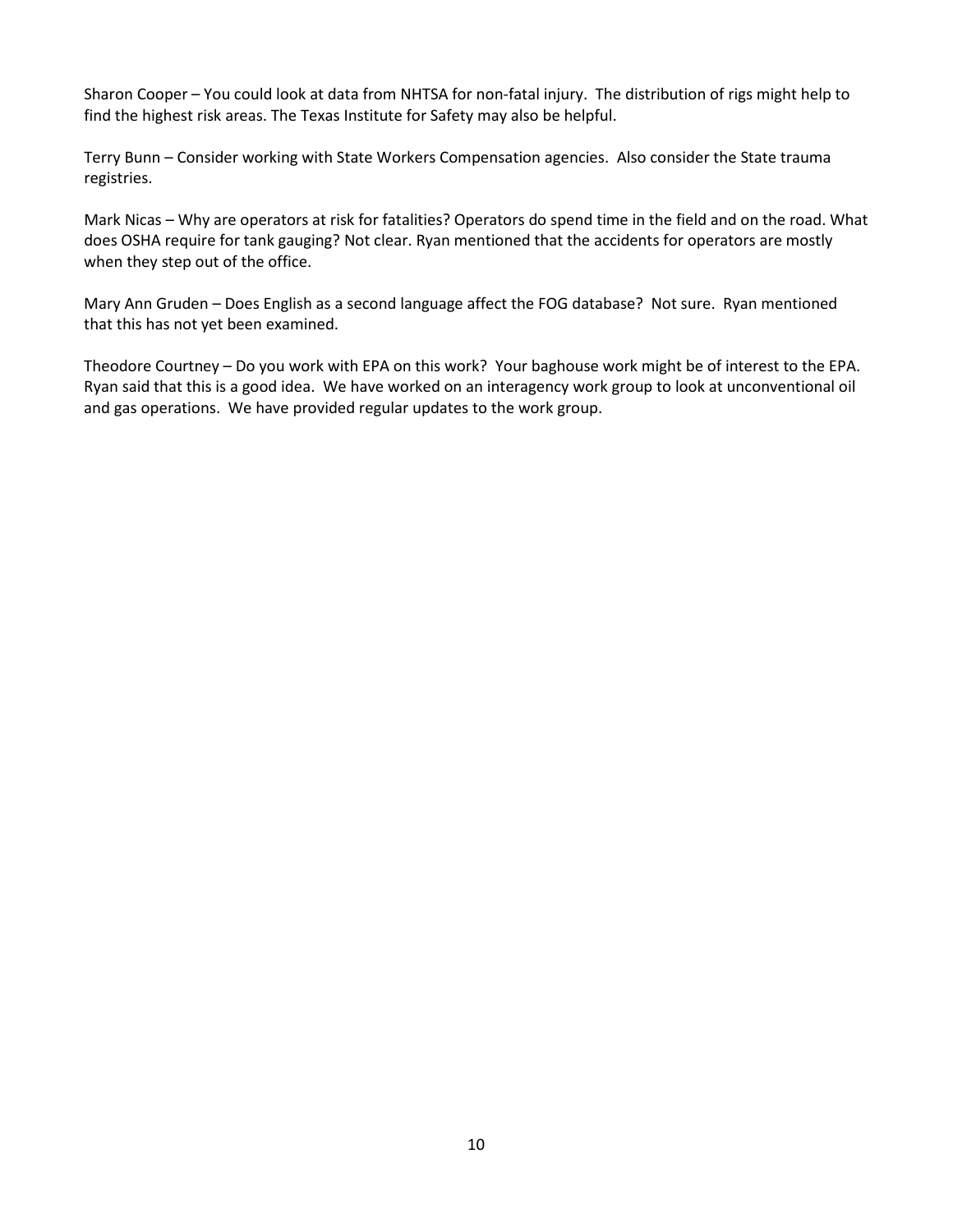Sharon Cooper – You could look at data from NHTSA for non-fatal injury. The distribution of rigs might help to find the highest risk areas. The Texas Institute for Safety may also be helpful.

Terry Bunn – Consider working with State Workers Compensation agencies. Also consider the State trauma registries.

Mark Nicas – Why are operators at risk for fatalities? Operators do spend time in the field and on the road. What does OSHA require for tank gauging? Not clear. Ryan mentioned that the accidents for operators are mostly when they step out of the office.

Mary Ann Gruden – Does English as a second language affect the FOG database? Not sure. Ryan mentioned that this has not yet been examined.

Theodore Courtney – Do you work with EPA on this work? Your baghouse work might be of interest to the EPA. Ryan said that this is a good idea. We have worked on an interagency work group to look at unconventional oil and gas operations. We have provided regular updates to the work group.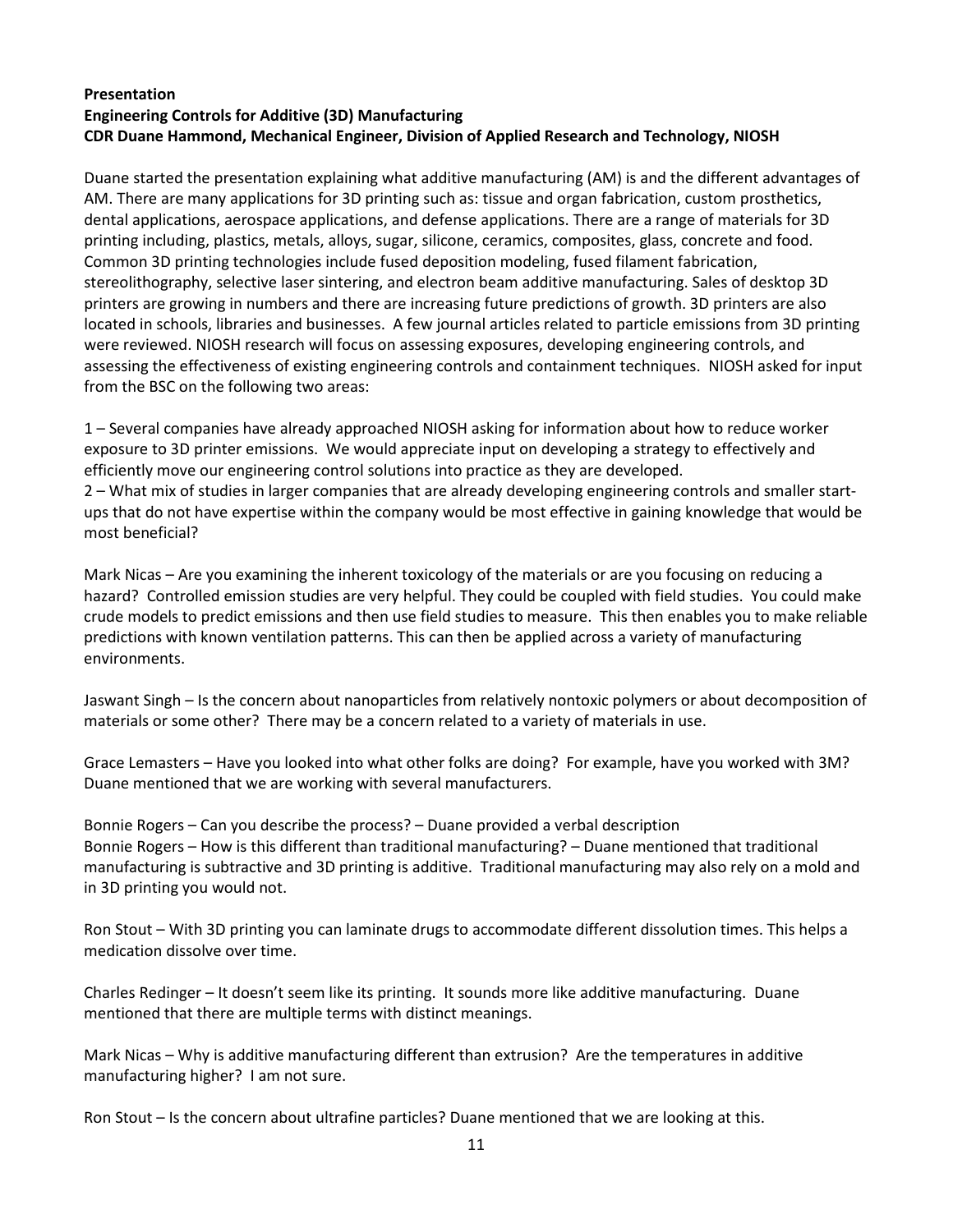### **Presentation Engineering Controls for Additive (3D) Manufacturing CDR Duane Hammond, Mechanical Engineer, Division of Applied Research and Technology, NIOSH**

Duane started the presentation explaining what additive manufacturing (AM) is and the different advantages of AM. There are many applications for 3D printing such as: tissue and organ fabrication, custom prosthetics, dental applications, aerospace applications, and defense applications. There are a range of materials for 3D printing including, plastics, metals, alloys, sugar, silicone, ceramics, composites, glass, concrete and food. Common 3D printing technologies include fused deposition modeling, fused filament fabrication, stereolithography, selective laser sintering, and electron beam additive manufacturing. Sales of desktop 3D printers are growing in numbers and there are increasing future predictions of growth. 3D printers are also located in schools, libraries and businesses. A few journal articles related to particle emissions from 3D printing were reviewed. NIOSH research will focus on assessing exposures, developing engineering controls, and assessing the effectiveness of existing engineering controls and containment techniques. NIOSH asked for input from the BSC on the following two areas:

1 – Several companies have already approached NIOSH asking for information about how to reduce worker exposure to 3D printer emissions. We would appreciate input on developing a strategy to effectively and efficiently move our engineering control solutions into practice as they are developed.

2 – What mix of studies in larger companies that are already developing engineering controls and smaller startups that do not have expertise within the company would be most effective in gaining knowledge that would be most beneficial?

Mark Nicas – Are you examining the inherent toxicology of the materials or are you focusing on reducing a hazard? Controlled emission studies are very helpful. They could be coupled with field studies. You could make crude models to predict emissions and then use field studies to measure. This then enables you to make reliable predictions with known ventilation patterns. This can then be applied across a variety of manufacturing environments.

Jaswant Singh – Is the concern about nanoparticles from relatively nontoxic polymers or about decomposition of materials or some other? There may be a concern related to a variety of materials in use.

Grace Lemasters – Have you looked into what other folks are doing? For example, have you worked with 3M? Duane mentioned that we are working with several manufacturers.

Bonnie Rogers – Can you describe the process? – Duane provided a verbal description Bonnie Rogers – How is this different than traditional manufacturing? – Duane mentioned that traditional manufacturing is subtractive and 3D printing is additive. Traditional manufacturing may also rely on a mold and in 3D printing you would not.

Ron Stout – With 3D printing you can laminate drugs to accommodate different dissolution times. This helps a medication dissolve over time.

Charles Redinger – It doesn't seem like its printing. It sounds more like additive manufacturing. Duane mentioned that there are multiple terms with distinct meanings.

Mark Nicas – Why is additive manufacturing different than extrusion? Are the temperatures in additive manufacturing higher? I am not sure.

Ron Stout – Is the concern about ultrafine particles? Duane mentioned that we are looking at this.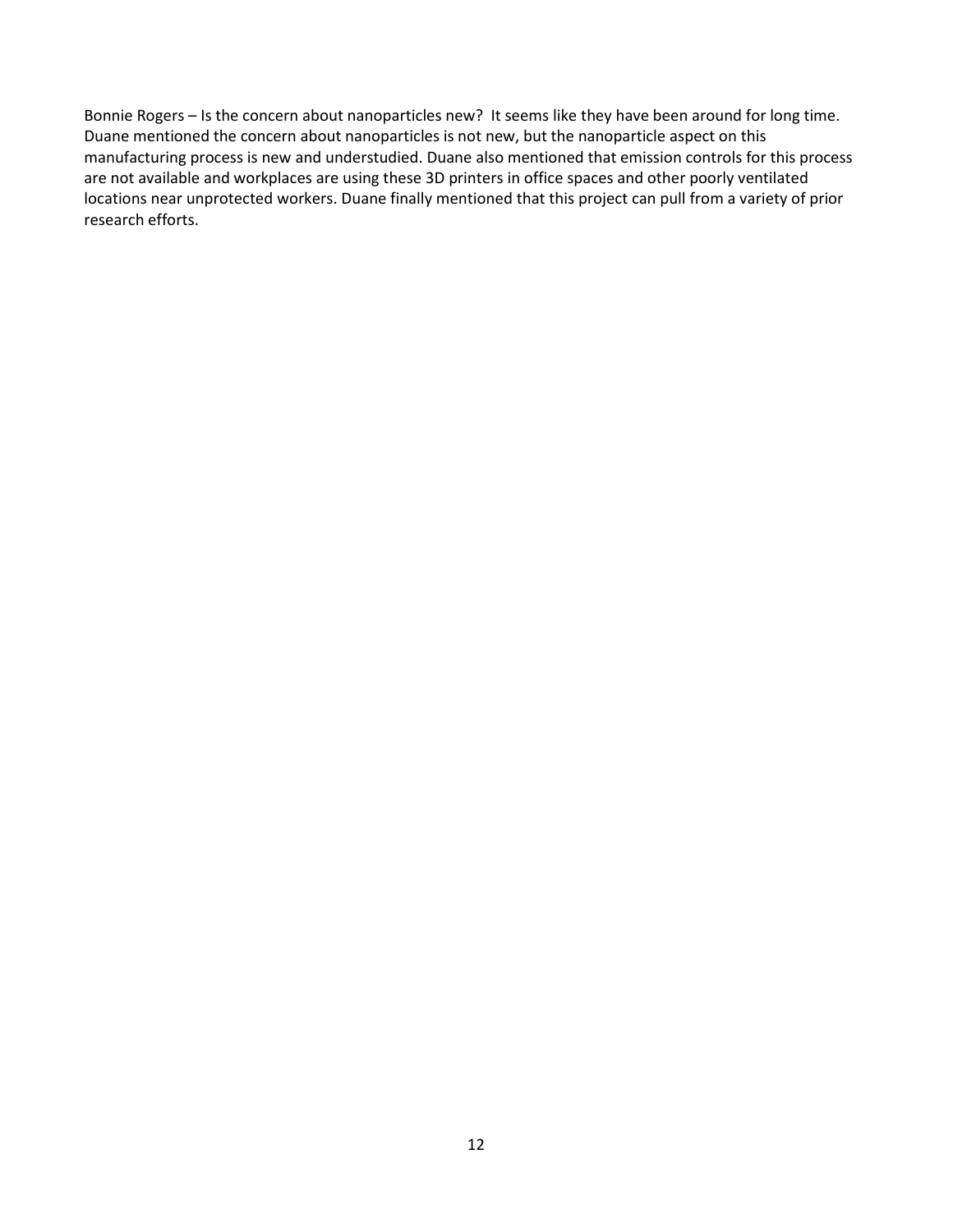Bonnie Rogers – Is the concern about nanoparticles new? It seems like they have been around for long time. Duane mentioned the concern about nanoparticles is not new, but the nanoparticle aspect on this manufacturing process is new and understudied. Duane also mentioned that emission controls for this process are not available and workplaces are using these 3D printers in office spaces and other poorly ventilated locations near unprotected workers. Duane finally mentioned that this project can pull from a variety of prior research efforts.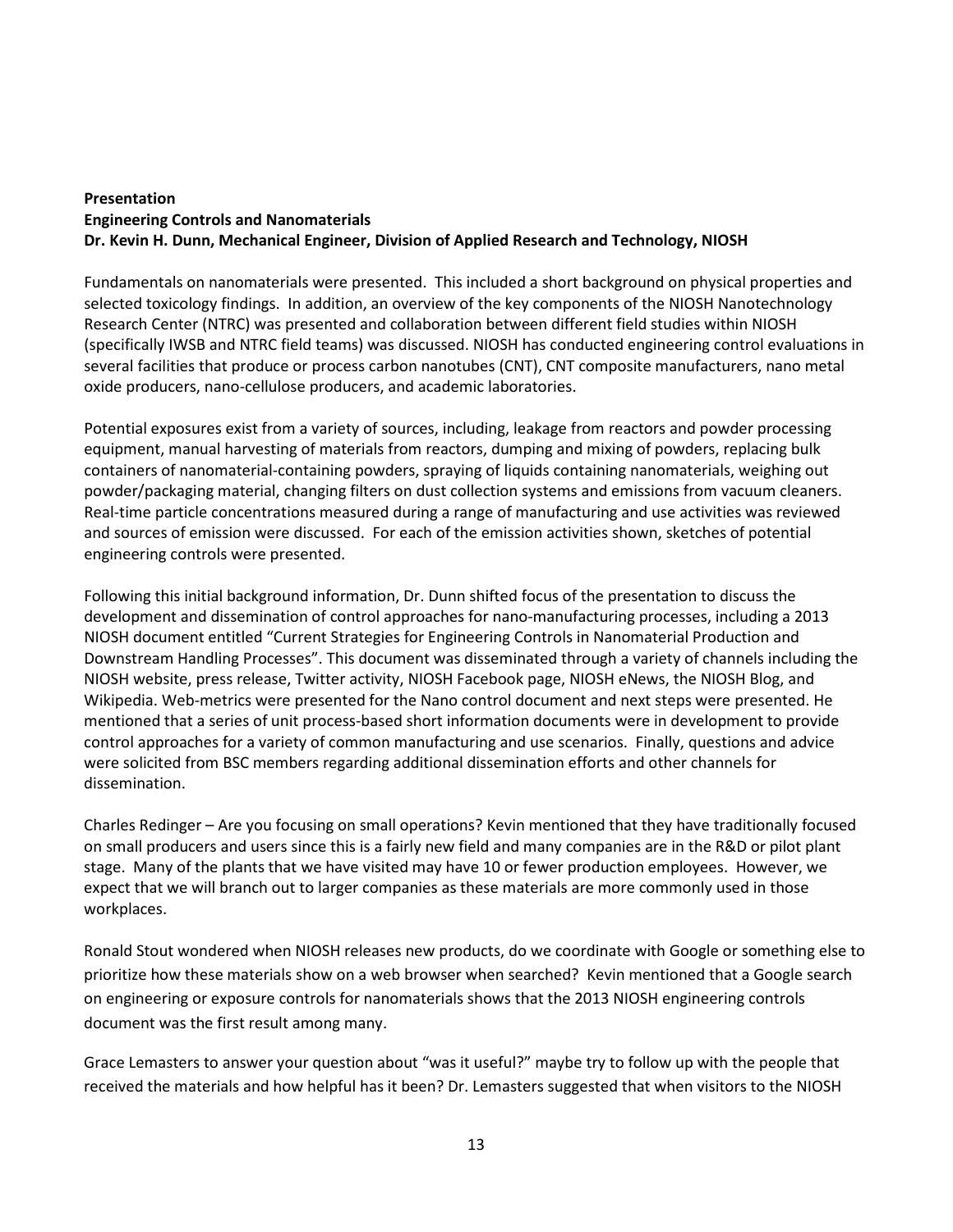### **Presentation Engineering Controls and Nanomaterials Dr. Kevin H. Dunn, Mechanical Engineer, Division of Applied Research and Technology, NIOSH**

Fundamentals on nanomaterials were presented. This included a short background on physical properties and selected toxicology findings. In addition, an overview of the key components of the NIOSH Nanotechnology Research Center (NTRC) was presented and collaboration between different field studies within NIOSH (specifically IWSB and NTRC field teams) was discussed. NIOSH has conducted engineering control evaluations in several facilities that produce or process carbon nanotubes (CNT), CNT composite manufacturers, nano metal oxide producers, nano-cellulose producers, and academic laboratories.

Potential exposures exist from a variety of sources, including, leakage from reactors and powder processing equipment, manual harvesting of materials from reactors, dumping and mixing of powders, replacing bulk containers of nanomaterial-containing powders, spraying of liquids containing nanomaterials, weighing out powder/packaging material, changing filters on dust collection systems and emissions from vacuum cleaners. Real-time particle concentrations measured during a range of manufacturing and use activities was reviewed and sources of emission were discussed. For each of the emission activities shown, sketches of potential engineering controls were presented.

Following this initial background information, Dr. Dunn shifted focus of the presentation to discuss the development and dissemination of control approaches for nano-manufacturing processes, including a 2013 NIOSH document entitled "Current Strategies for Engineering Controls in Nanomaterial Production and Downstream Handling Processes". This document was disseminated through a variety of channels including the NIOSH website, press release, Twitter activity, NIOSH Facebook page, NIOSH eNews, the NIOSH Blog, and Wikipedia. Web-metrics were presented for the Nano control document and next steps were presented. He mentioned that a series of unit process-based short information documents were in development to provide control approaches for a variety of common manufacturing and use scenarios. Finally, questions and advice were solicited from BSC members regarding additional dissemination efforts and other channels for dissemination.

Charles Redinger – Are you focusing on small operations? Kevin mentioned that they have traditionally focused on small producers and users since this is a fairly new field and many companies are in the R&D or pilot plant stage. Many of the plants that we have visited may have 10 or fewer production employees. However, we expect that we will branch out to larger companies as these materials are more commonly used in those workplaces.

Ronald Stout wondered when NIOSH releases new products, do we coordinate with Google or something else to prioritize how these materials show on a web browser when searched? Kevin mentioned that a Google search on engineering or exposure controls for nanomaterials shows that the 2013 NIOSH engineering controls document was the first result among many.

Grace Lemasters to answer your question about "was it useful?" maybe try to follow up with the people that received the materials and how helpful has it been? Dr. Lemasters suggested that when visitors to the NIOSH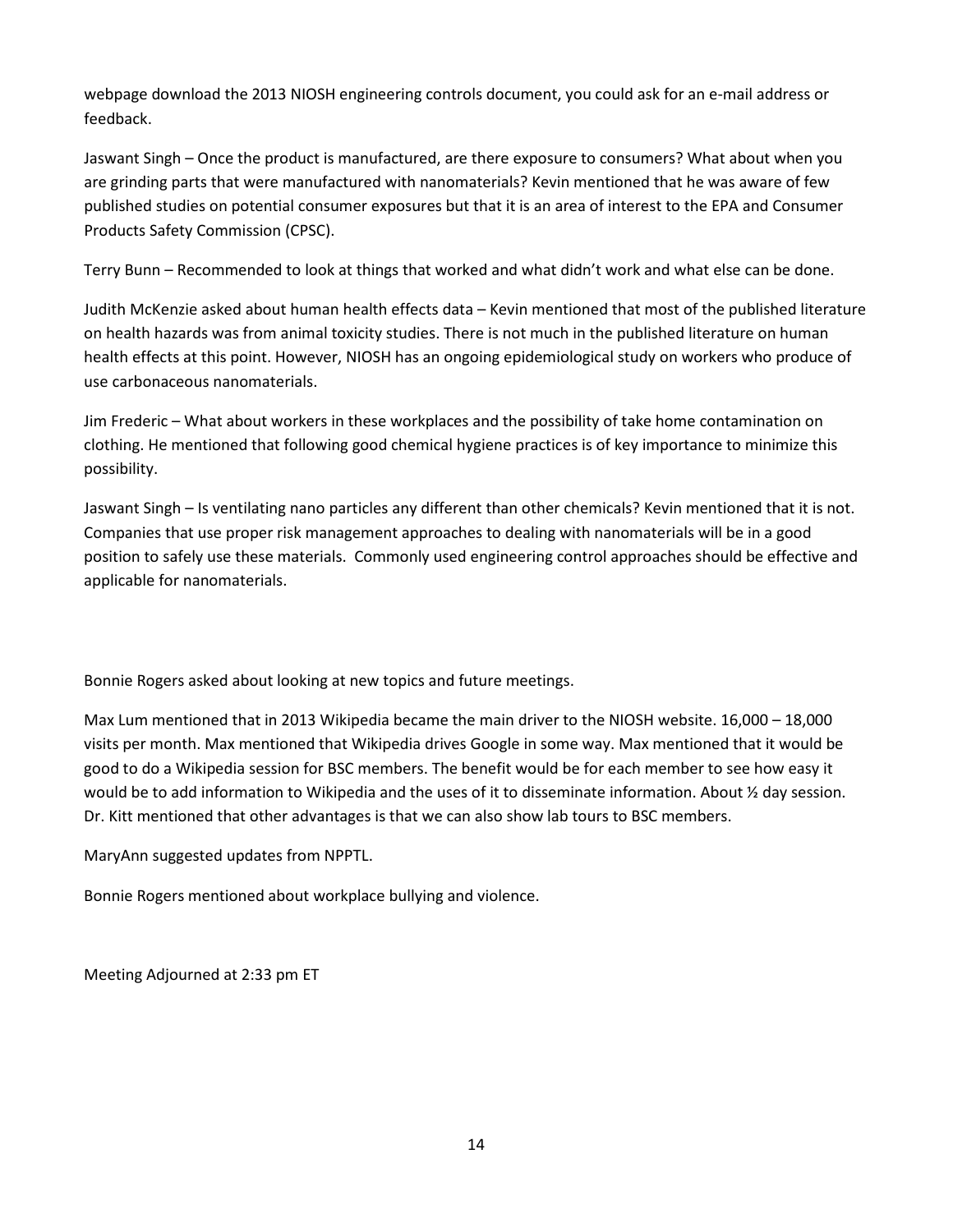webpage download the 2013 NIOSH engineering controls document, you could ask for an e-mail address or feedback.

Jaswant Singh – Once the product is manufactured, are there exposure to consumers? What about when you are grinding parts that were manufactured with nanomaterials? Kevin mentioned that he was aware of few published studies on potential consumer exposures but that it is an area of interest to the EPA and Consumer Products Safety Commission (CPSC).

Terry Bunn – Recommended to look at things that worked and what didn't work and what else can be done.

Judith McKenzie asked about human health effects data – Kevin mentioned that most of the published literature on health hazards was from animal toxicity studies. There is not much in the published literature on human health effects at this point. However, NIOSH has an ongoing epidemiological study on workers who produce of use carbonaceous nanomaterials.

Jim Frederic – What about workers in these workplaces and the possibility of take home contamination on clothing. He mentioned that following good chemical hygiene practices is of key importance to minimize this possibility.

Jaswant Singh – Is ventilating nano particles any different than other chemicals? Kevin mentioned that it is not. Companies that use proper risk management approaches to dealing with nanomaterials will be in a good position to safely use these materials. Commonly used engineering control approaches should be effective and applicable for nanomaterials.

Bonnie Rogers asked about looking at new topics and future meetings.

Max Lum mentioned that in 2013 Wikipedia became the main driver to the NIOSH website. 16,000 – 18,000 visits per month. Max mentioned that Wikipedia drives Google in some way. Max mentioned that it would be good to do a Wikipedia session for BSC members. The benefit would be for each member to see how easy it would be to add information to Wikipedia and the uses of it to disseminate information. About ½ day session. Dr. Kitt mentioned that other advantages is that we can also show lab tours to BSC members.

MaryAnn suggested updates from NPPTL.

Bonnie Rogers mentioned about workplace bullying and violence.

Meeting Adjourned at 2:33 pm ET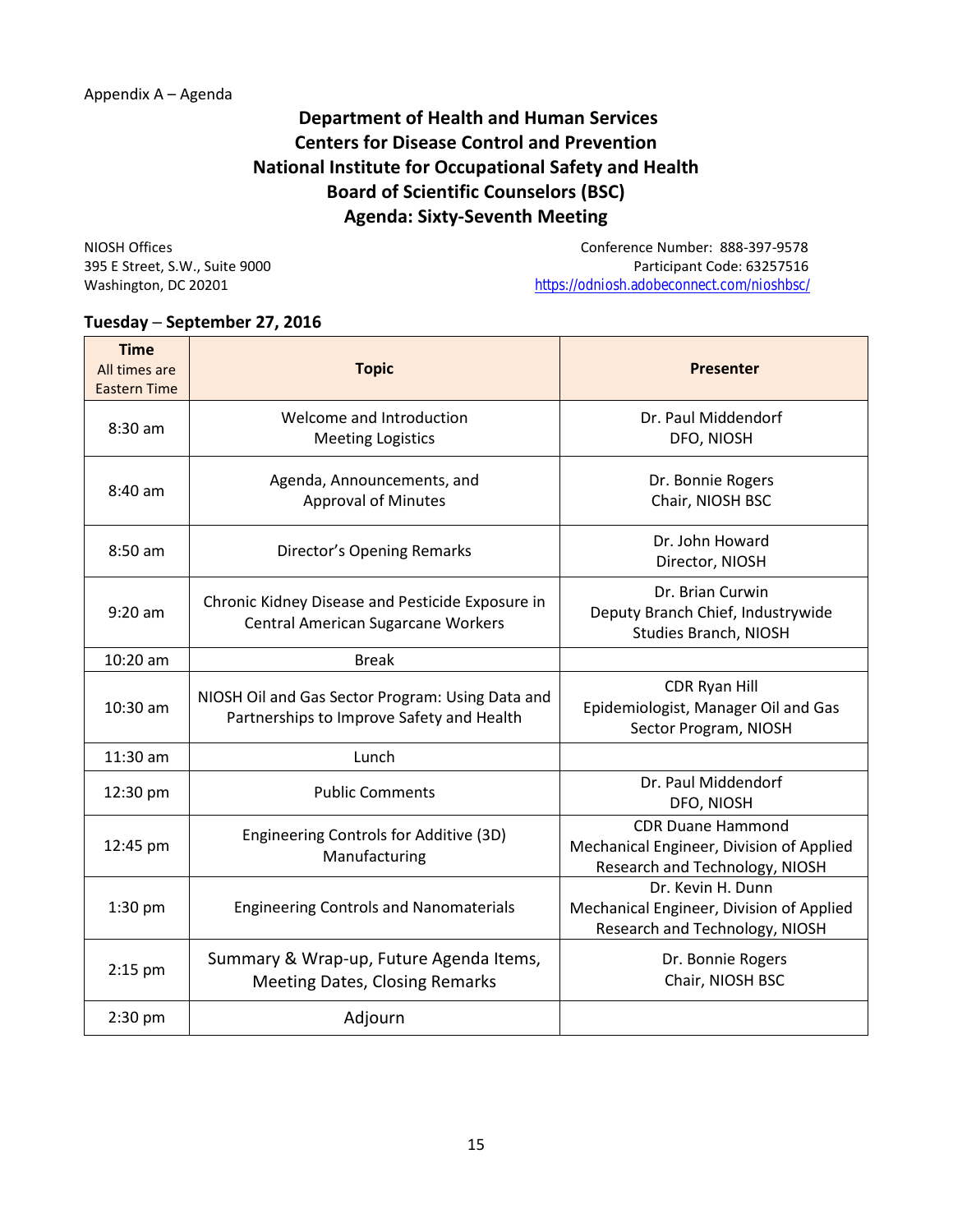## **Department of Health and Human Services Centers for Disease Control and Prevention National Institute for Occupational Safety and Health Board of Scientific Counselors (BSC) Agenda: Sixty-Seventh Meeting**

NIOSH Offices Conference Number: 888-397-9578 395 E Street, S.W., Suite 9000<br>
Washington, DC 20201 Development Code: 63257516<br>
https://odniosh.adobeconnect.com/nioshbsc/ <https://odniosh.adobeconnect.com/nioshbsc/>

### **Tuesday ─ September 27, 2016**

| <b>Time</b><br>All times are<br><b>Eastern Time</b> | <b>Topic</b>                                                                                  | <b>Presenter</b>                                                                                       |
|-----------------------------------------------------|-----------------------------------------------------------------------------------------------|--------------------------------------------------------------------------------------------------------|
| 8:30 am                                             | Welcome and Introduction<br><b>Meeting Logistics</b>                                          | Dr. Paul Middendorf<br>DFO, NIOSH                                                                      |
| $8:40$ am                                           | Agenda, Announcements, and<br><b>Approval of Minutes</b>                                      | Dr. Bonnie Rogers<br>Chair, NIOSH BSC                                                                  |
| $8:50$ am                                           | Director's Opening Remarks                                                                    | Dr. John Howard<br>Director, NIOSH                                                                     |
| $9:20$ am                                           | Chronic Kidney Disease and Pesticide Exposure in<br><b>Central American Sugarcane Workers</b> | Dr. Brian Curwin<br>Deputy Branch Chief, Industrywide<br><b>Studies Branch, NIOSH</b>                  |
| $10:20$ am                                          | <b>Break</b>                                                                                  |                                                                                                        |
| 10:30 am                                            | NIOSH Oil and Gas Sector Program: Using Data and<br>Partnerships to Improve Safety and Health | CDR Ryan Hill<br>Epidemiologist, Manager Oil and Gas<br>Sector Program, NIOSH                          |
| $11:30$ am                                          | Lunch                                                                                         |                                                                                                        |
| 12:30 pm                                            | <b>Public Comments</b>                                                                        | Dr. Paul Middendorf<br>DFO, NIOSH                                                                      |
| 12:45 pm                                            | Engineering Controls for Additive (3D)<br>Manufacturing                                       | <b>CDR Duane Hammond</b><br>Mechanical Engineer, Division of Applied<br>Research and Technology, NIOSH |
| $1:30$ pm                                           | <b>Engineering Controls and Nanomaterials</b>                                                 | Dr. Kevin H. Dunn<br>Mechanical Engineer, Division of Applied<br>Research and Technology, NIOSH        |
| 2:15 pm                                             | Summary & Wrap-up, Future Agenda Items,<br><b>Meeting Dates, Closing Remarks</b>              | Dr. Bonnie Rogers<br>Chair, NIOSH BSC                                                                  |
| 2:30 pm                                             | Adjourn                                                                                       |                                                                                                        |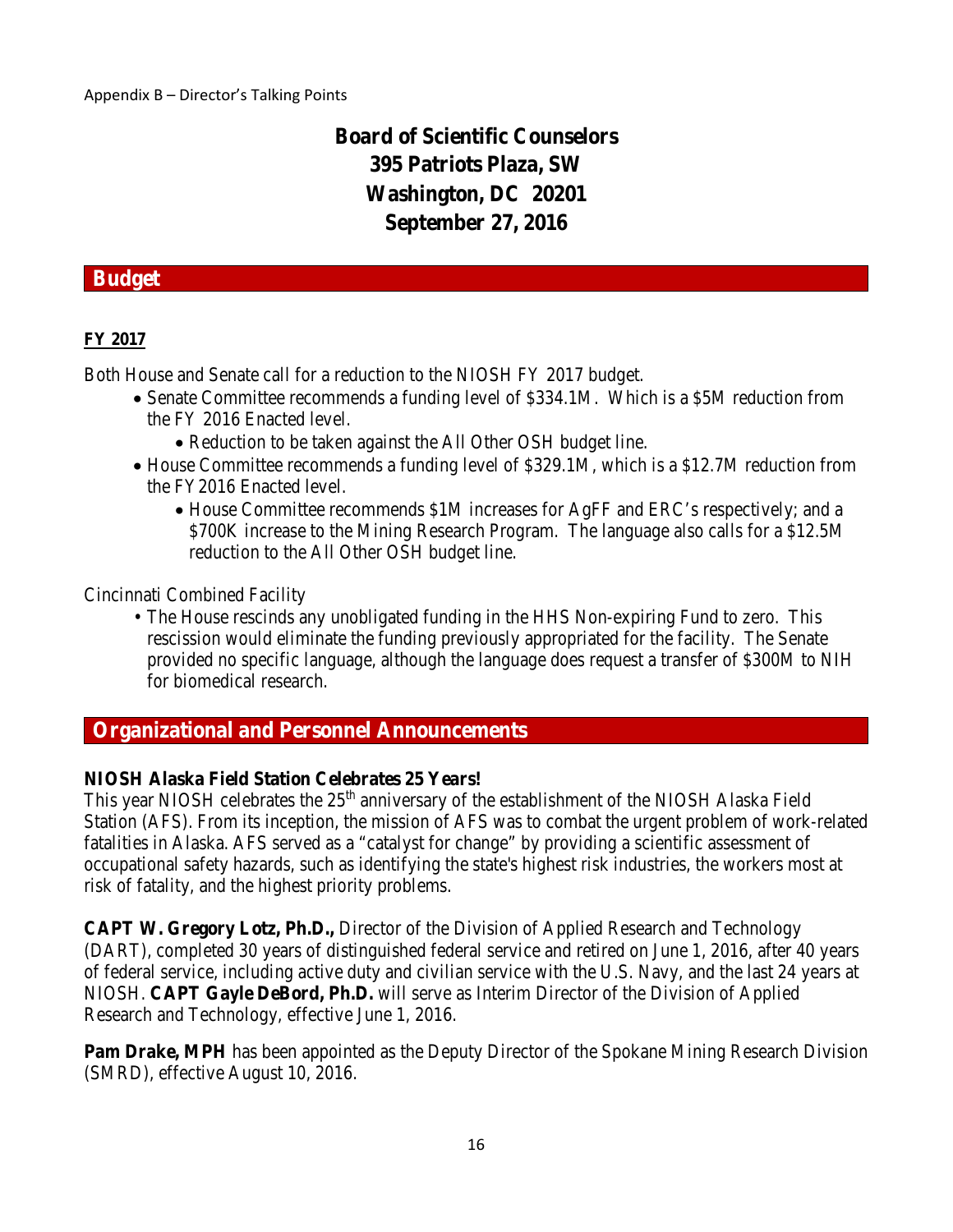# **Board of Scientific Counselors 395 Patriots Plaza, SW Washington, DC 20201 September 27, 2016**

## **Budget**

## **FY 2017**

Both House and Senate call for a reduction to the NIOSH FY 2017 budget.

- Senate Committee recommends a funding level of \$334.1M. Which is a \$5M reduction from the FY 2016 Enacted level.
	- Reduction to be taken against the All Other OSH budget line.
- House Committee recommends a funding level of \$329.1M, which is a \$12.7M reduction from the FY2016 Enacted level.
	- House Committee recommends \$1M increases for AgFF and ERC's respectively; and a \$700K increase to the Mining Research Program. The language also calls for a \$12.5M reduction to the All Other OSH budget line.

Cincinnati Combined Facility

• The House rescinds any unobligated funding in the HHS Non-expiring Fund to zero. This rescission would eliminate the funding previously appropriated for the facility. The Senate provided no specific language, although the language does request a transfer of \$300M to NIH for biomedical research.

## **Organizational and Personnel Announcements**

## **NIOSH Alaska Field Station Celebrates 25 Years!**

This year NIOSH celebrates the 25<sup>th</sup> anniversary of the establishment of the NIOSH Alaska Field Station (AFS). From its inception, the mission of AFS was to combat the urgent problem of work-related fatalities in Alaska. AFS served as a "catalyst for change" by providing a scientific assessment of occupational safety hazards, such as identifying the state's highest risk industries, the workers most at risk of fatality, and the highest priority problems.

**CAPT W. Gregory Lotz, Ph.D.,** Director of the Division of Applied Research and Technology (DART), completed 30 years of distinguished federal service and retired on June 1, 2016, after 40 years of federal service, including active duty and civilian service with the U.S. Navy, and the last 24 years at NIOSH. **CAPT Gayle DeBord, Ph.D.** will serve as Interim Director of the Division of Applied Research and Technology, effective June 1, 2016.

**Pam Drake, MPH** has been appointed as the Deputy Director of the Spokane Mining Research Division (SMRD), effective August 10, 2016.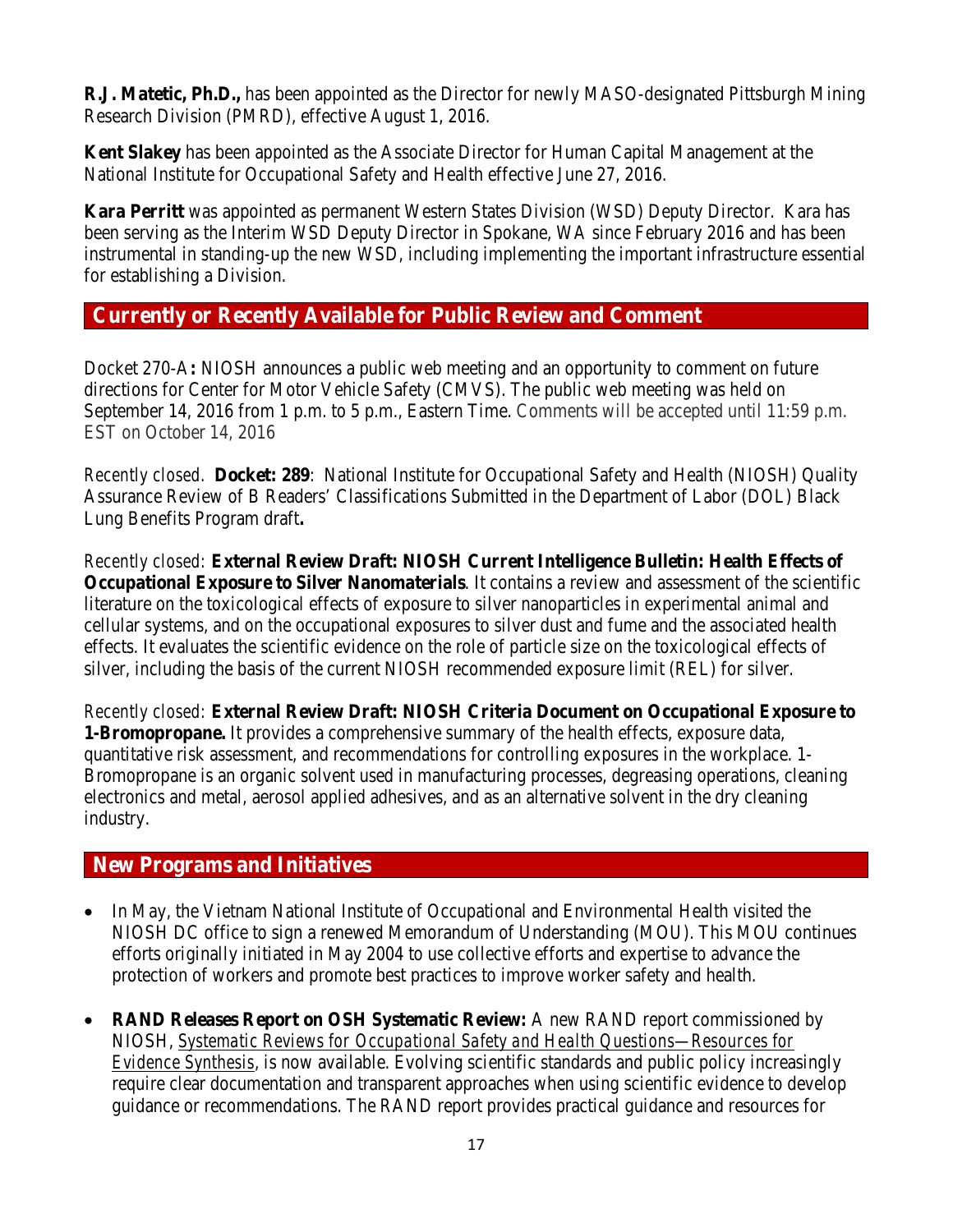**R.J. Matetic, Ph.D.,** has been appointed as the Director for newly MASO-designated Pittsburgh Mining Research Division (PMRD), effective August 1, 2016.

**Kent Slakey** has been appointed as the Associate Director for Human Capital Management at the National Institute for Occupational Safety and Health effective June 27, 2016.

**Kara Perritt** was appointed as permanent Western States Division (WSD) Deputy Director. Kara has been serving as the Interim WSD Deputy Director in Spokane, WA since February 2016 and has been instrumental in standing-up the new WSD, including implementing the important infrastructure essential for establishing a Division.

## **Currently or Recently Available for Public Review and Comment**

Docket 270-A**:** NIOSH announces a public web meeting and an opportunity to comment on future directions for Center for Motor Vehicle Safety (CMVS). The public web meeting was held on September 14, 2016 from 1 p.m. to 5 p.m., Eastern Time. Comments will be accepted until 11:59 p.m. EST on October 14, 2016

*Recently closed.* **Docket: 289**:National Institute for Occupational Safety and Health (NIOSH) Quality Assurance Review of B Readers' Classifications Submitted in the Department of Labor (DOL) Black Lung Benefits Program draft**.**

*Recently closed:* **[External Review Draft: NIOSH Current Intelligence Bulletin: Health Effects of](http://www.cdc.gov/niosh/docket/review/docket260a/default.html)  [Occupational Exposure to Silver Nanomaterials](http://www.cdc.gov/niosh/docket/review/docket260a/default.html)**. It contains a review and assessment of the scientific literature on the toxicological effects of exposure to silver nanoparticles in experimental animal and cellular systems, and on the occupational exposures to silver dust and fume and the associated health effects. It evaluates the scientific evidence on the role of particle size on the toxicological effects of silver, including the basis of the current NIOSH recommended exposure limit (REL) for silver.

*Recently closed:* **[External Review Draft: NIOSH Criteria Document on](http://www.cdc.gov/niosh/docket/review/docket057a/default.html) Occupational Exposure to [1-Bromopropane.](http://www.cdc.gov/niosh/docket/review/docket057a/default.html)** It provides a comprehensive summary of the health effects, exposure data, quantitative risk assessment, and recommendations for controlling exposures in the workplace. 1- Bromopropane is an organic solvent used in manufacturing processes, degreasing operations, cleaning electronics and metal, aerosol applied adhesives, and as an alternative solvent in the dry cleaning industry.

## **New Programs and Initiatives**

- In May, the Vietnam National Institute of Occupational and Environmental Health visited the NIOSH DC office to sign a renewed Memorandum of Understanding (MOU). This MOU continues efforts originally initiated in May 2004 to use collective efforts and expertise to advance the protection of workers and promote best practices to improve worker safety and health.
- **RAND Releases Report on OSH Systematic Review:** A new RAND report commissioned by NIOSH, *[Systematic Reviews for Occupational Safety and Health Questions—Resources for](http://www.rand.org/pubs/research_reports/RR1463.html)  [Evidence Synthesis](http://www.rand.org/pubs/research_reports/RR1463.html)*, is now available. Evolving scientific standards and public policy increasingly require clear documentation and transparent approaches when using scientific evidence to develop guidance or recommendations. The RAND report provides practical guidance and resources for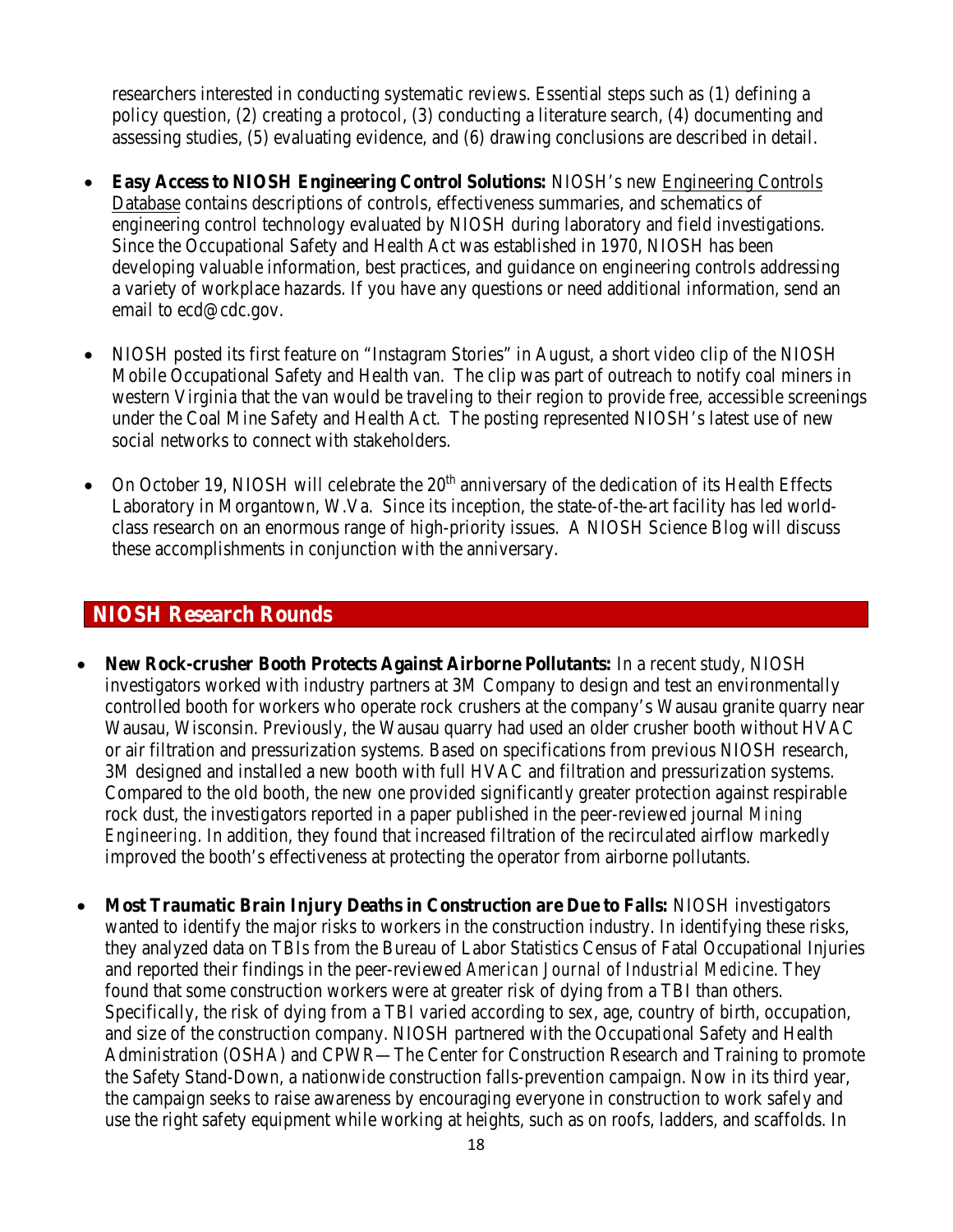researchers interested in conducting systematic reviews. Essential steps such as (1) defining a policy question, (2) creating a protocol, (3) conducting a literature search, (4) documenting and assessing studies, (5) evaluating evidence, and (6) drawing conclusions are described in detail.

- **Easy Access to NIOSH Engineering Control Solutions:** NIOSH's new [Engineering Controls](https://wwwn.cdc.gov/niosh-ecd/)  [Database](https://wwwn.cdc.gov/niosh-ecd/) contains descriptions of controls, effectiveness summaries, and schematics of engineering control technology evaluated by NIOSH during laboratory and field investigations. Since the Occupational Safety and Health Act was established in 1970, NIOSH has been developing valuable information, best practices, and guidance on engineering controls addressing a variety of workplace hazards. If you have any questions or need additional information, send an email to [ecd@cdc.gov.](mailto:ecd@cdc.gov)
- NIOSH posted its first feature on "Instagram Stories" in August, a short video clip of the NIOSH Mobile Occupational Safety and Health van. The clip was part of outreach to notify coal miners in western Virginia that the van would be traveling to their region to provide free, accessible screenings under the Coal Mine Safety and Health Act. The posting represented NIOSH's latest use of new social networks to connect with stakeholders.
- On October 19, NIOSH will celebrate the  $20<sup>th</sup>$  anniversary of the dedication of its Health Effects Laboratory in Morgantown, W.Va. Since its inception, the state-of-the-art facility has led worldclass research on an enormous range of high-priority issues. A NIOSH Science Blog will discuss these accomplishments in conjunction with the anniversary.

## **NIOSH Research Rounds**

- **New Rock-crusher Booth Protects Against Airborne Pollutants:** In a recent study, NIOSH investigators worked with industry partners at 3M Company to design and test an environmentally controlled booth for workers who operate rock crushers at the company's Wausau granite quarry near Wausau, Wisconsin. Previously, the Wausau quarry had used an older crusher booth without HVAC or air filtration and pressurization systems. Based on specifications from previous NIOSH research, 3M designed and installed a new booth with full HVAC and filtration and pressurization systems. Compared to the old booth, the new one provided significantly greater protection against respirable rock dust, the investigators reported in a paper published in the peer-reviewed journal *Mining Engineering*. In addition, they found that increased filtration of the recirculated airflow markedly improved the booth's effectiveness at protecting the operator from airborne pollutants.
- **Most Traumatic Brain Injury Deaths in Construction are Due to Falls:** NIOSH investigators wanted to identify the major risks to workers in the construction industry. In identifying these risks, they analyzed data on TBIs from the Bureau of Labor Statistics Census of Fatal Occupational Injuries and reported their findings in the peer-reviewed *American Journal of Industrial Medicine*. They found that some construction workers were at greater risk of dying from a TBI than others. Specifically, the risk of dying from a TBI varied according to sex, age, country of birth, occupation, and size of the construction company. NIOSH partnered with the Occupational Safety and Health Administration (OSHA) and CPWR—The Center for Construction Research and Training to promote the Safety Stand-Down, a nationwide construction falls-prevention campaign. Now in its third year, the campaign seeks to raise awareness by encouraging everyone in construction to work safely and use the right safety equipment while working at heights, such as on roofs, ladders, and scaffolds. In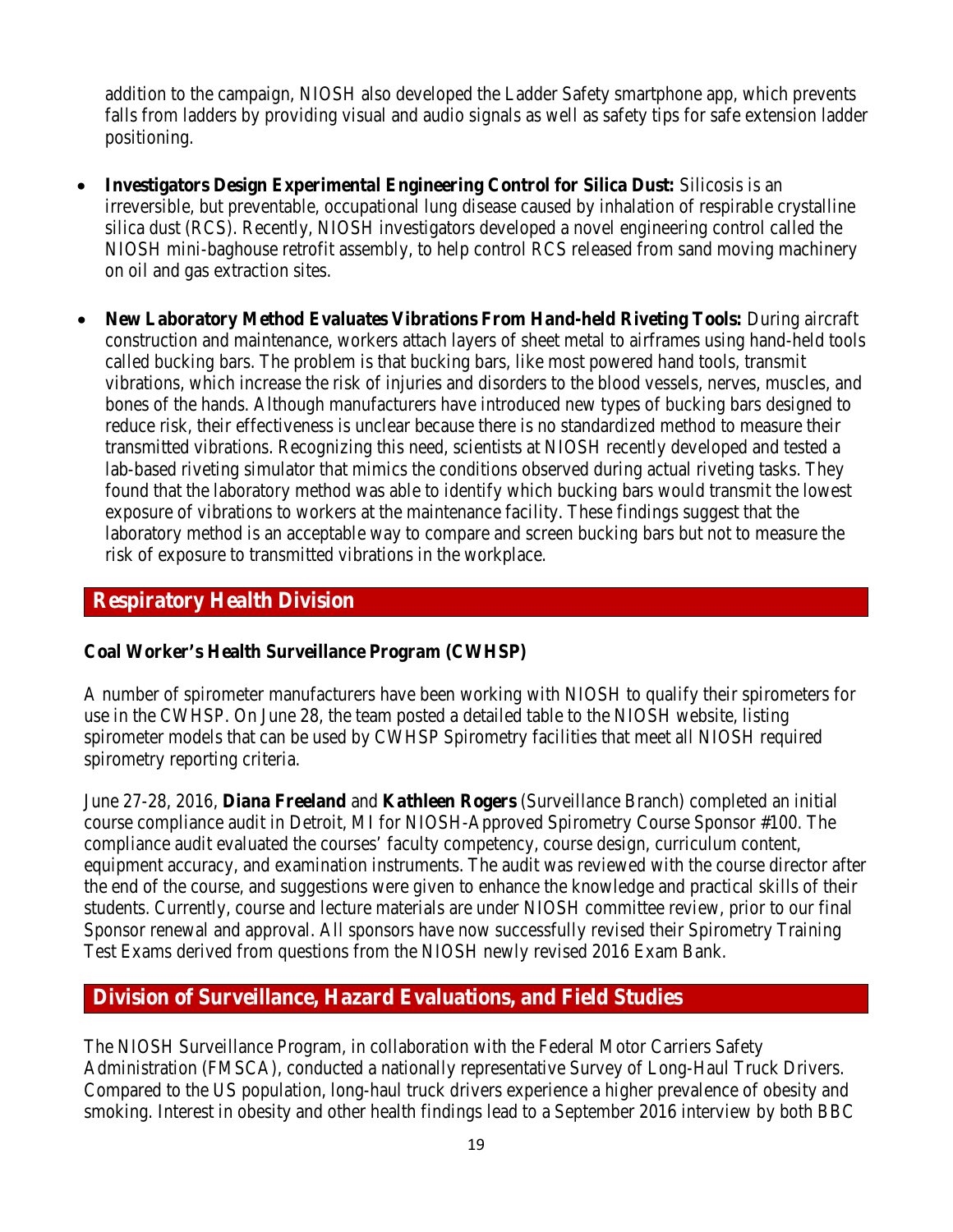addition to the campaign, NIOSH also developed the Ladder Safety smartphone app, which prevents falls from ladders by providing visual and audio signals as well as safety tips for safe extension ladder positioning.

- **Investigators Design Experimental Engineering Control for Silica Dust:** Silicosis is an irreversible, but preventable, occupational lung disease caused by inhalation of respirable crystalline silica dust (RCS). Recently, NIOSH investigators developed a novel engineering control called the NIOSH mini-baghouse retrofit assembly, to help control RCS released from sand moving machinery on oil and gas extraction sites.
- **New Laboratory Method Evaluates Vibrations From Hand-held Riveting Tools:** During aircraft construction and maintenance, workers attach layers of sheet metal to airframes using hand-held tools called bucking bars. The problem is that bucking bars, like most powered hand tools, transmit vibrations, which increase the risk of injuries and disorders to the blood vessels, nerves, muscles, and bones of the hands. Although manufacturers have introduced new types of bucking bars designed to reduce risk, their effectiveness is unclear because there is no standardized method to measure their transmitted vibrations. Recognizing this need, scientists at NIOSH recently developed and tested a lab-based riveting simulator that mimics the conditions observed during actual riveting tasks. They found that the laboratory method was able to identify which bucking bars would transmit the lowest exposure of vibrations to workers at the maintenance facility. These findings suggest that the laboratory method is an acceptable way to compare and screen bucking bars but not to measure the risk of exposure to transmitted vibrations in the workplace.

## **Respiratory Health Division**

## **Coal Worker's Health Surveillance Program (CWHSP)**

A number of spirometer manufacturers have been working with NIOSH to qualify their spirometers for use in the CWHSP. On June 28, the team posted a detailed table to the NIOSH website, listing spirometer models that can be used by CWHSP Spirometry facilities that meet all NIOSH required spirometry reporting criteria.

June 27-28, 2016, **Diana Freeland** and **Kathleen Rogers** (Surveillance Branch) completed an initial course compliance audit in Detroit, MI for NIOSH-Approved Spirometry Course Sponsor #100. The compliance audit evaluated the courses' faculty competency, course design, curriculum content, equipment accuracy, and examination instruments. The audit was reviewed with the course director after the end of the course, and suggestions were given to enhance the knowledge and practical skills of their students. Currently, course and lecture materials are under NIOSH committee review, prior to our final Sponsor renewal and approval. All sponsors have now successfully revised their Spirometry Training Test Exams derived from questions from the NIOSH newly revised 2016 Exam Bank.

## **Division of Surveillance, Hazard Evaluations, and Field Studies**

The NIOSH Surveillance Program, in collaboration with the Federal Motor Carriers Safety Administration (FMSCA), conducted a nationally representative Survey of Long-Haul Truck Drivers. Compared to the US population, long-haul truck drivers experience a higher prevalence of obesity and smoking. Interest in obesity and other health findings lead to a September 2016 interview by both BBC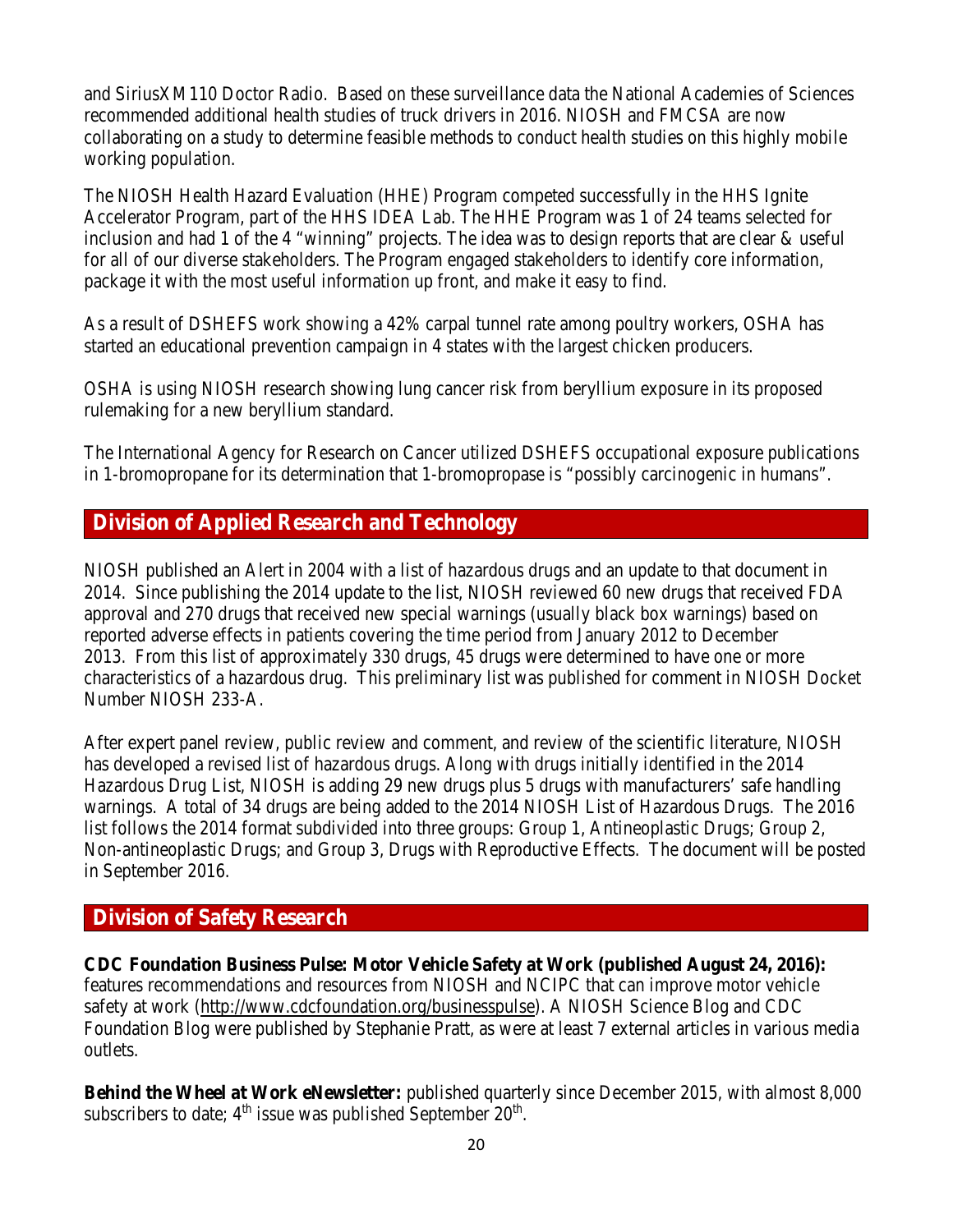and SiriusXM110 Doctor Radio. Based on these surveillance data the National Academies of Sciences recommended additional health studies of truck drivers in 2016. NIOSH and FMCSA are now collaborating on a study to determine feasible methods to conduct health studies on this highly mobile working population.

The NIOSH Health Hazard Evaluation (HHE) Program competed successfully in the HHS Ignite Accelerator Program, part of the HHS IDEA Lab. The HHE Program was 1 of 24 teams selected for inclusion and had 1 of the 4 "winning" projects. The idea was to design reports that are clear & useful for all of our diverse stakeholders. The Program engaged stakeholders to identify core information, package it with the most useful information up front, and make it easy to find.

As a result of DSHEFS work showing a 42% carpal tunnel rate among poultry workers, OSHA has started an educational prevention campaign in 4 states with the largest chicken producers.

OSHA is using NIOSH research showing lung cancer risk from beryllium exposure in its proposed rulemaking for a new beryllium standard.

The International Agency for Research on Cancer utilized DSHEFS occupational exposure publications in 1-bromopropane for its determination that 1-bromopropase is "possibly carcinogenic in humans".

## **Division of Applied Research and Technology**

NIOSH published an Alert in 2004 with a list of hazardous drugs and an update to that document in 2014. Since publishing the 2014 update to the list, NIOSH reviewed 60 new drugs that received FDA approval and 270 drugs that received new special warnings (usually black box warnings) based on reported adverse effects in patients covering the time period from January 2012 to December 2013. From this list of approximately 330 drugs, 45 drugs were determined to have one or more characteristics of a hazardous drug. This preliminary list was published for comment in NIOSH Docket Number NIOSH 233-A.

After expert panel review, public review and comment, and review of the scientific literature, NIOSH has developed a revised list of hazardous drugs. Along with drugs initially identified in the 2014 Hazardous Drug List, NIOSH is adding 29 new drugs plus 5 drugs with manufacturers' safe handling warnings. A total of 34 drugs are being added to the 2014 NIOSH List of Hazardous Drugs. The 2016 list follows the 2014 format subdivided into three groups: Group 1, Antineoplastic Drugs; Group 2, Non-antineoplastic Drugs; and Group 3, Drugs with Reproductive Effects. The document will be posted in September 2016.

## **Division of Safety Research**

**CDC Foundation Business Pulse: Motor Vehicle Safety at Work (published August 24, 2016):**  features recommendations and resources from NIOSH and NCIPC that can improve motor vehicle safety at work [\(http://www.cdcfoundation.org/businesspulse\)](http://www.cdcfoundation.org/businesspulse). A NIOSH Science Blog and CDC Foundation Blog were published by Stephanie Pratt, as were at least 7 external articles in various media outlets.

**Behind the Wheel at Work eNewsletter:** published quarterly since December 2015, with almost 8,000 subscribers to date;  $4<sup>th</sup>$  issue was published September 20<sup>th</sup>.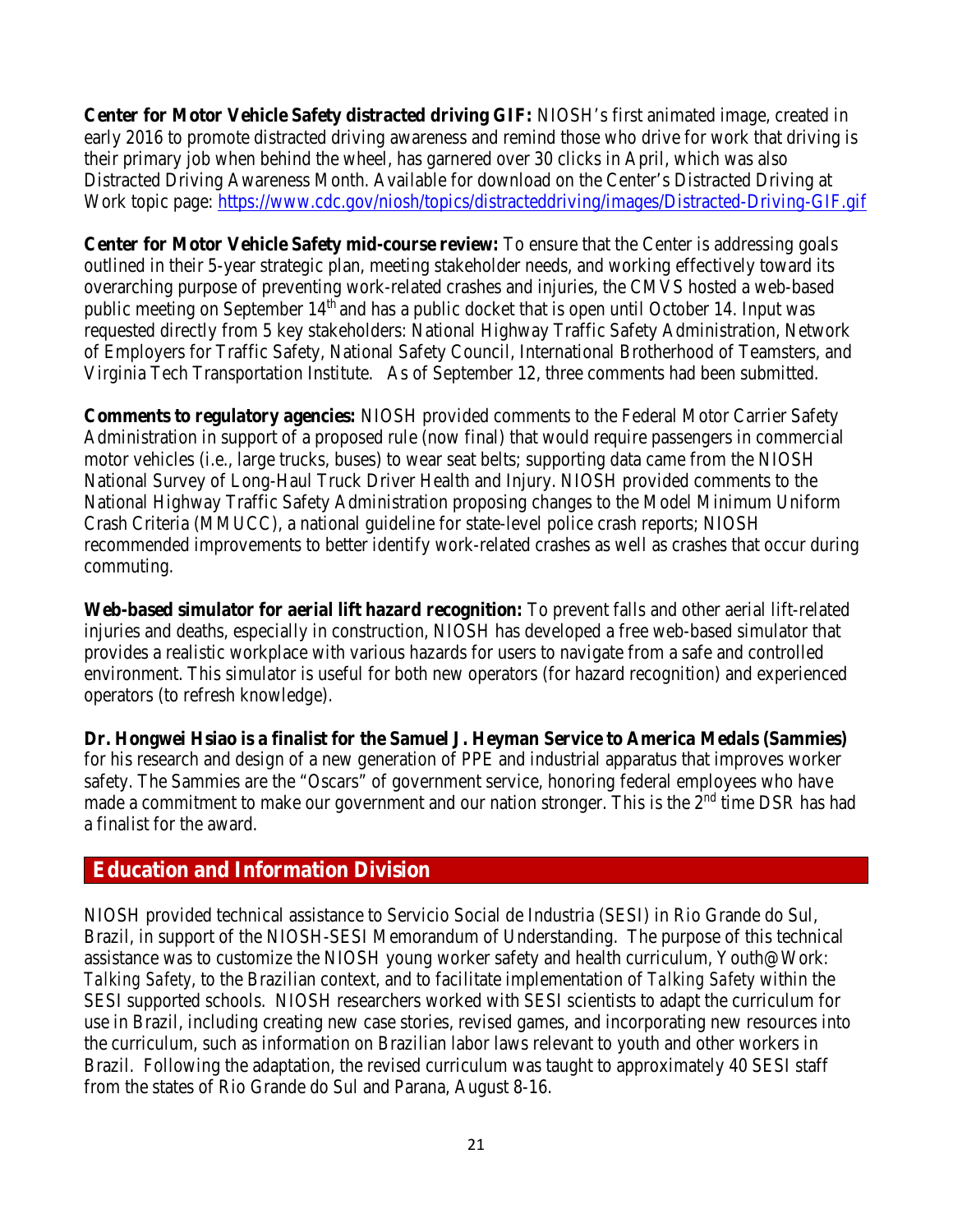**Center for Motor Vehicle Safety distracted driving GIF:** NIOSH's first animated image, created in early 2016 to promote distracted driving awareness and remind those who drive for work that driving is their primary job when behind the wheel, has garnered over 30 clicks in April, which was also Distracted Driving Awareness Month. [Available for download on the Center's Distracted Driving at](http://www.cdc.gov/niosh/topics/distracteddriving/default.html)  [Work topic page:](http://www.cdc.gov/niosh/topics/distracteddriving/default.html)<https://www.cdc.gov/niosh/topics/distracteddriving/images/Distracted-Driving-GIF.gif>

**Center for Motor Vehicle Safety mid-course review:** To ensure that the Center is addressing goals outlined in their 5-year strategic plan, meeting stakeholder needs, and working effectively toward its overarching purpose of preventing work-related crashes and injuries, the CMVS hosted a web-based public meeting on September 14<sup>th</sup> and has a public docket that is open until October 14. Input was requested directly from 5 key stakeholders: National Highway Traffic Safety Administration, Network of Employers for Traffic Safety, National Safety Council, International Brotherhood of Teamsters, and Virginia Tech Transportation Institute. As of September 12, three comments had been submitted.

**Comments to regulatory agencies:** NIOSH provided comments to the Federal Motor Carrier Safety Administration in support of a proposed rule (now final) that would require passengers in commercial motor vehicles (i.e., large trucks, buses) to wear seat belts; supporting data came from the NIOSH National Survey of Long-Haul Truck Driver Health and Injury. NIOSH provided comments to the National Highway Traffic Safety Administration proposing changes to the Model Minimum Uniform Crash Criteria (MMUCC), a national guideline for state-level police crash reports; NIOSH recommended improvements to better identify work-related crashes as well as crashes that occur during commuting.

**Web-based simulator for aerial lift hazard recognition:** To prevent falls and other aerial lift-related injuries and deaths, especially in construction, NIOSH has developed a free web-based simulator that provides a realistic workplace with various hazards for users to navigate from a safe and controlled environment. This simulator is useful for both new operators (for hazard recognition) and experienced operators (to refresh knowledge).

**Dr. Hongwei Hsiao is a finalist for the Samuel J. Heyman Service to America Medals (Sammies)** for his research and design of a new generation of PPE and industrial apparatus that improves worker safety. The Sammies are the "Oscars" of government service, honoring federal employees who have made a commitment to make our government and our nation stronger. This is the  $2<sup>nd</sup>$  time DSR has had a finalist for the award.

## **Education and Information Division**

NIOSH provided technical assistance to Servicio Social de Industria (SESI) in Rio Grande do Sul, Brazil, in support of the NIOSH-SESI Memorandum of Understanding. The purpose of this technical assistance was to customize the NIOSH young worker safety and health curriculum, Youth@Work: *Talking Safety*, to the Brazilian context, and to facilitate implementation of *Talking Safety* within the SESI supported schools. NIOSH researchers worked with SESI scientists to adapt the curriculum for use in Brazil, including creating new case stories, revised games, and incorporating new resources into the curriculum, such as information on Brazilian labor laws relevant to youth and other workers in Brazil. Following the adaptation, the revised curriculum was taught to approximately 40 SESI staff from the states of Rio Grande do Sul and Parana, August 8-16.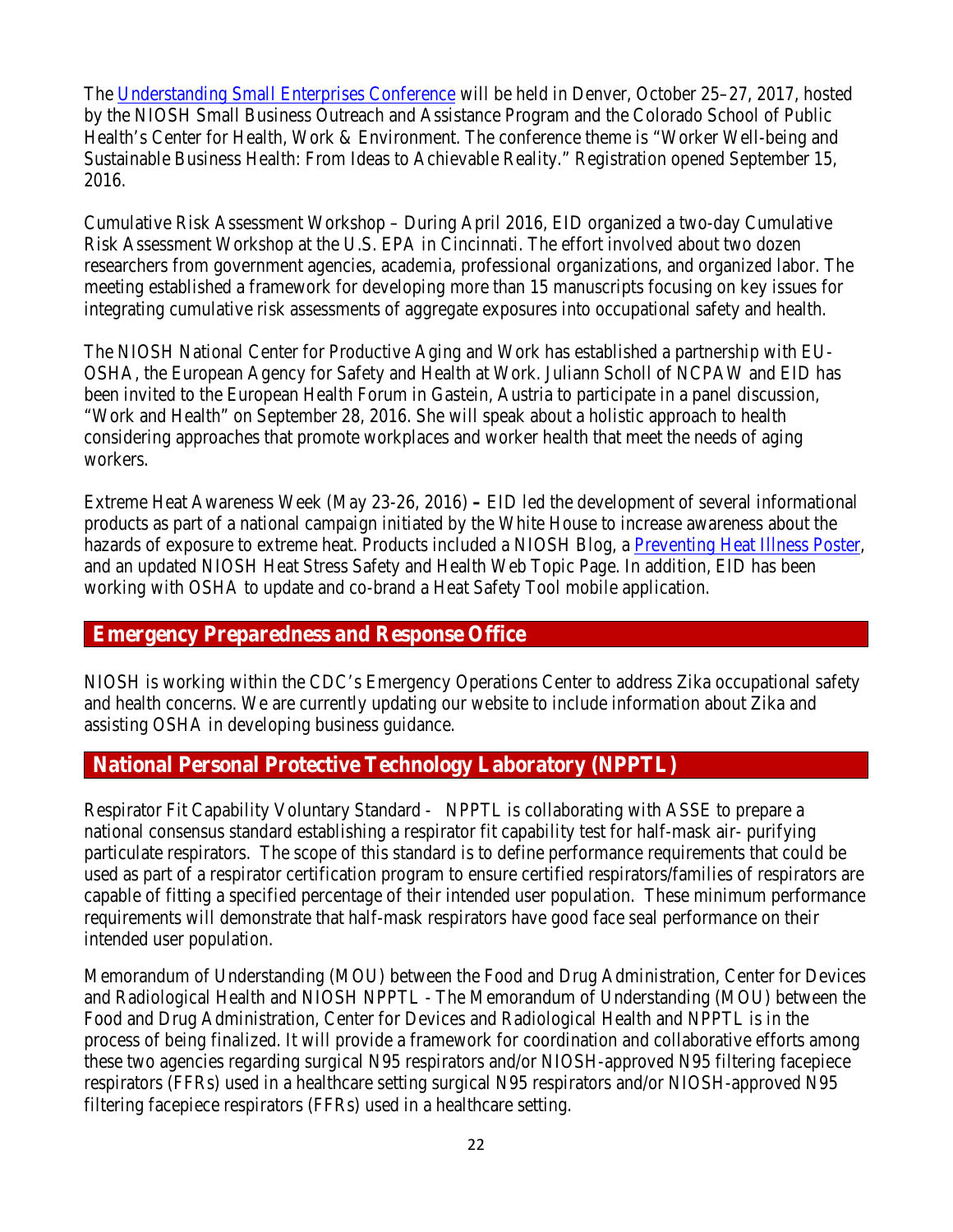The [Understanding Small Enterprises Conference](https://useconference.com/) will be held in Denver, October 25–27, 2017, hosted by the NIOSH Small Business Outreach and Assistance Program and the Colorado School of Public Health's Center for Health, Work & Environment. The conference theme is "Worker Well-being and Sustainable Business Health: From Ideas to Achievable Reality." Registration opened September 15, 2016.

Cumulative Risk Assessment Workshop – During April 2016, EID organized a two-day Cumulative Risk Assessment Workshop at the U.S. EPA in Cincinnati. The effort involved about two dozen researchers from government agencies, academia, professional organizations, and organized labor. The meeting established a framework for developing more than 15 manuscripts focusing on key issues for integrating cumulative risk assessments of aggregate exposures into occupational safety and health.

The NIOSH National Center for Productive Aging and Work has established a partnership with EU-OSHA, the European Agency for Safety and Health at Work. Juliann Scholl of NCPAW and EID has been invited to the European Health Forum in Gastein, Austria to participate in a panel discussion, "Work and Health" on September 28, 2016. She will speak about a holistic approach to health considering approaches that promote workplaces and worker health that meet the needs of aging workers.

Extreme Heat Awareness Week (May 23-26, 2016) **–** EID led the development of several informational products as part of a national campaign initiated by the White House to increase awareness about the hazards of exposure to extreme heat. Products included a NIOSH Blog, a [Preventing Heat Illness Poster,](http://www.cdc.gov/niosh/docs/2016-151/) and an updated NIOSH Heat Stress Safety and Health Web Topic Page. In addition, EID has been working with OSHA to update and co-brand a Heat Safety Tool mobile application.

## **Emergency Preparedness and Response Office**

NIOSH is working within the CDC's Emergency Operations Center to address Zika occupational safety and health concerns. We are currently updating our website to include information about Zika and assisting OSHA in developing business guidance.

## **National Personal Protective Technology Laboratory (NPPTL)**

Respirator Fit Capability Voluntary Standard - NPPTL is collaborating with ASSE to prepare a national consensus standard establishing a respirator fit capability test for half-mask air- purifying particulate respirators. The scope of this standard is to define performance requirements that could be used as part of a respirator certification program to ensure certified respirators/families of respirators are capable of fitting a specified percentage of their intended user population. These minimum performance requirements will demonstrate that half-mask respirators have good face seal performance on their intended user population.

Memorandum of Understanding (MOU) between the Food and Drug Administration, Center for Devices and Radiological Health and NIOSH NPPTL - The Memorandum of Understanding (MOU) between the Food and Drug Administration, Center for Devices and Radiological Health and NPPTL is in the process of being finalized. It will provide a framework for coordination and collaborative efforts among these two agencies regarding surgical N95 respirators and/or NIOSH-approved N95 filtering facepiece respirators (FFRs) used in a healthcare setting surgical N95 respirators and/or NIOSH-approved N95 filtering facepiece respirators (FFRs) used in a healthcare setting.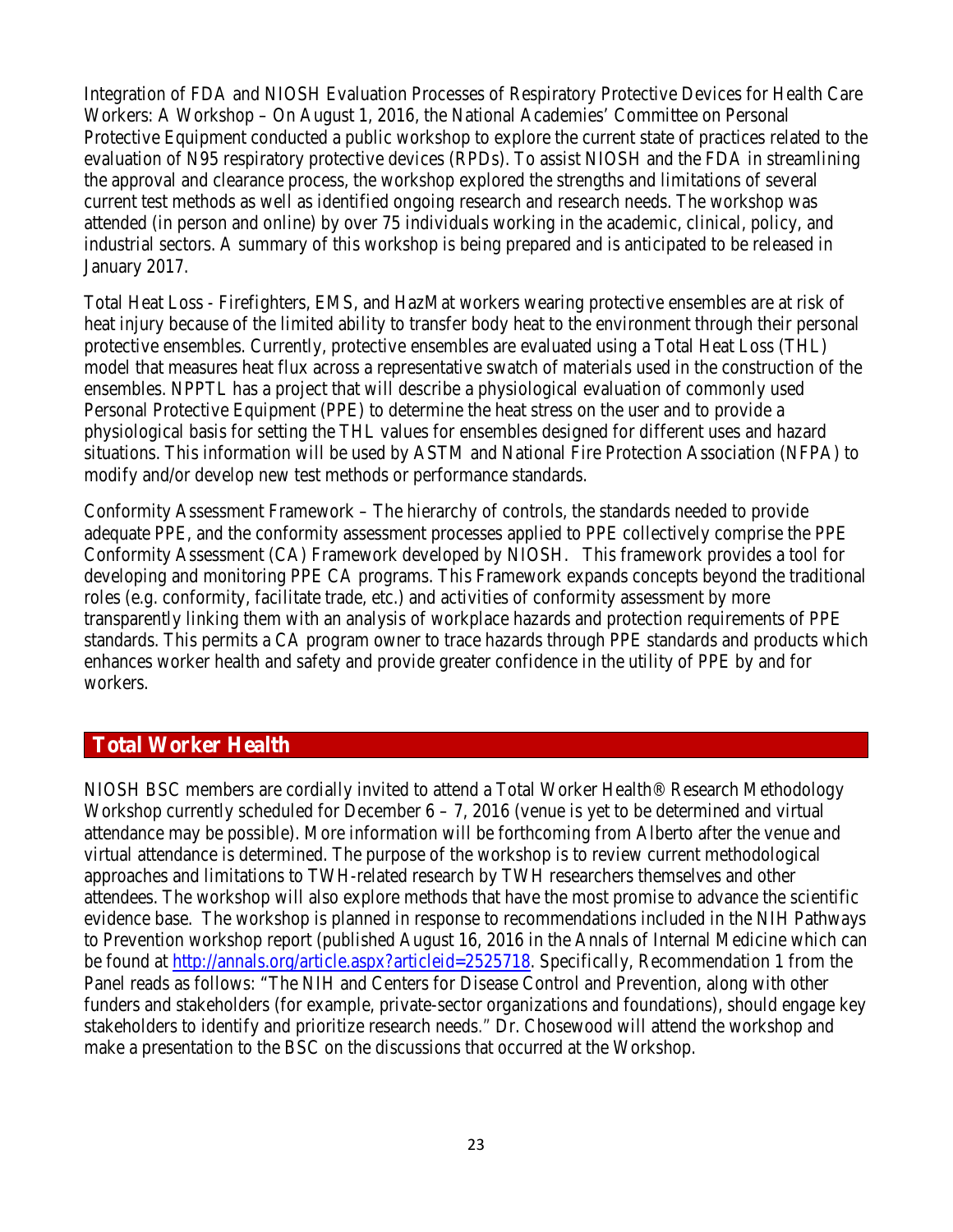Integration of FDA and NIOSH Evaluation Processes of Respiratory Protective Devices for Health Care Workers: A Workshop – On August 1, 2016, the National Academies' Committee on Personal Protective Equipment conducted a public workshop to explore the current state of practices related to the evaluation of N95 respiratory protective devices (RPDs). To assist NIOSH and the FDA in streamlining the approval and clearance process, the workshop explored the strengths and limitations of several current test methods as well as identified ongoing research and research needs. The workshop was attended (in person and online) by over 75 individuals working in the academic, clinical, policy, and industrial sectors. A summary of this workshop is being prepared and is anticipated to be released in January 2017.

Total Heat Loss - Firefighters, EMS, and HazMat workers wearing protective ensembles are at risk of heat injury because of the limited ability to transfer body heat to the environment through their personal protective ensembles. Currently, protective ensembles are evaluated using a Total Heat Loss (THL) model that measures heat flux across a representative swatch of materials used in the construction of the ensembles. NPPTL has a project that will describe a physiological evaluation of commonly used Personal Protective Equipment (PPE) to determine the heat stress on the user and to provide a physiological basis for setting the THL values for ensembles designed for different uses and hazard situations. This information will be used by ASTM and National Fire Protection Association (NFPA) to modify and/or develop new test methods or performance standards.

Conformity Assessment Framework – The hierarchy of controls, the standards needed to provide adequate PPE, and the conformity assessment processes applied to PPE collectively comprise the PPE Conformity Assessment (CA) Framework developed by NIOSH. This framework provides a tool for developing and monitoring PPE CA programs. This Framework expands concepts beyond the traditional roles (e.g. conformity, facilitate trade, etc.) and activities of conformity assessment by more transparently linking them with an analysis of workplace hazards and protection requirements of PPE standards. This permits a CA program owner to trace hazards through PPE standards and products which enhances worker health and safety and provide greater confidence in the utility of PPE by and for workers.

## **Total Worker Health**

NIOSH BSC members are cordially invited to attend a Total Worker Health® Research Methodology Workshop currently scheduled for December  $6 - 7$ , 2016 (venue is yet to be determined and virtual attendance may be possible). More information will be forthcoming from Alberto after the venue and virtual attendance is determined. The purpose of the workshop is to review current methodological approaches and limitations to TWH-related research by TWH researchers themselves and other attendees. The workshop will also explore methods that have the most promise to advance the scientific evidence base. The workshop is planned in response to recommendations included in the NIH Pathways to Prevention workshop report (published August 16, 2016 in the Annals of Internal Medicine which can be found at [http://annals.org/article.aspx?articleid=2525718.](http://annals.org/article.aspx?articleid=2525718) Specifically, Recommendation 1 from the Panel reads as follows: "The NIH and Centers for Disease Control and Prevention, along with other funders and stakeholders (for example, private-sector organizations and foundations), should engage key stakeholders to identify and prioritize research needs." Dr. Chosewood will attend the workshop and make a presentation to the BSC on the discussions that occurred at the Workshop.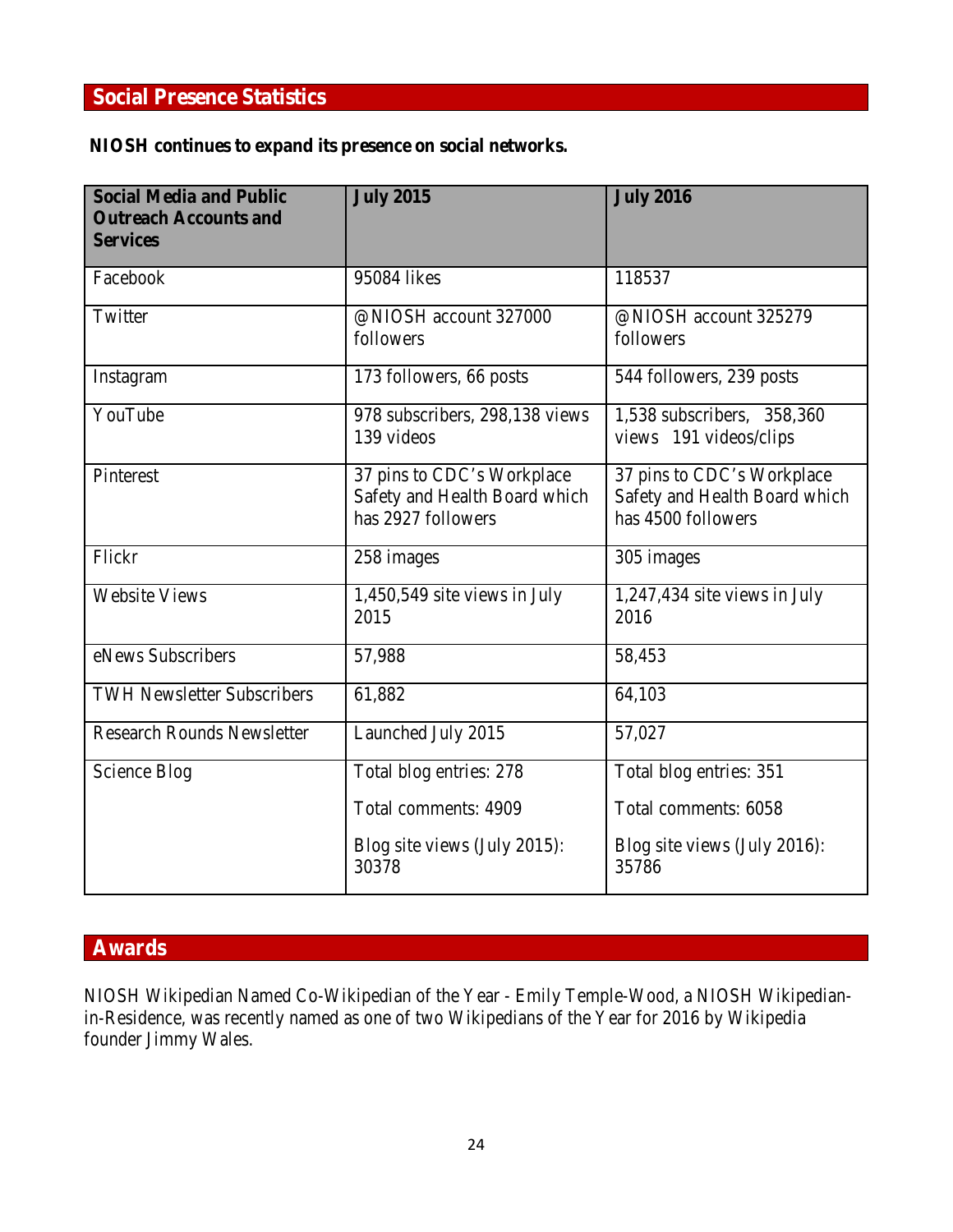## **Social Presence Statistics**

## **NIOSH continues to expand its presence on social networks***.*

| <b>Social Media and Public</b><br><b>Outreach Accounts and</b><br><b>Services</b> | <b>July 2015</b>                                                                  | <b>July 2016</b>                                                                  |
|-----------------------------------------------------------------------------------|-----------------------------------------------------------------------------------|-----------------------------------------------------------------------------------|
| Facebook                                                                          | 95084 likes                                                                       | 118537                                                                            |
| Twitter                                                                           | @NIOSH account 327000<br>followers                                                | @NIOSH account 325279<br>followers                                                |
| Instagram                                                                         | 173 followers, 66 posts                                                           | 544 followers, 239 posts                                                          |
| YouTube                                                                           | 978 subscribers, 298,138 views<br>139 videos                                      | 1,538 subscribers, 358,360<br>views 191 videos/clips                              |
| Pinterest                                                                         | 37 pins to CDC's Workplace<br>Safety and Health Board which<br>has 2927 followers | 37 pins to CDC's Workplace<br>Safety and Health Board which<br>has 4500 followers |
| Flickr                                                                            | 258 images                                                                        | 305 images                                                                        |
| <b>Website Views</b>                                                              | 1,450,549 site views in July<br>2015                                              | 1,247,434 site views in July<br>2016                                              |
| eNews Subscribers                                                                 | 57,988                                                                            | 58,453                                                                            |
| <b>TWH Newsletter Subscribers</b>                                                 | 61,882                                                                            | 64,103                                                                            |
| <b>Research Rounds Newsletter</b>                                                 | Launched July 2015                                                                | 57,027                                                                            |
| <b>Science Blog</b>                                                               | Total blog entries: 278                                                           | Total blog entries: 351                                                           |
|                                                                                   | Total comments: 4909                                                              | Total comments: 6058                                                              |
|                                                                                   | Blog site views (July 2015):<br>30378                                             | Blog site views (July 2016):<br>35786                                             |

## **Awards**

NIOSH Wikipedian Named Co-Wikipedian of the Year - Emily Temple-Wood, a NIOSH Wikipedianin-Residence, was recently named as one of two Wikipedians of the Year for 2016 by Wikipedia founder Jimmy Wales.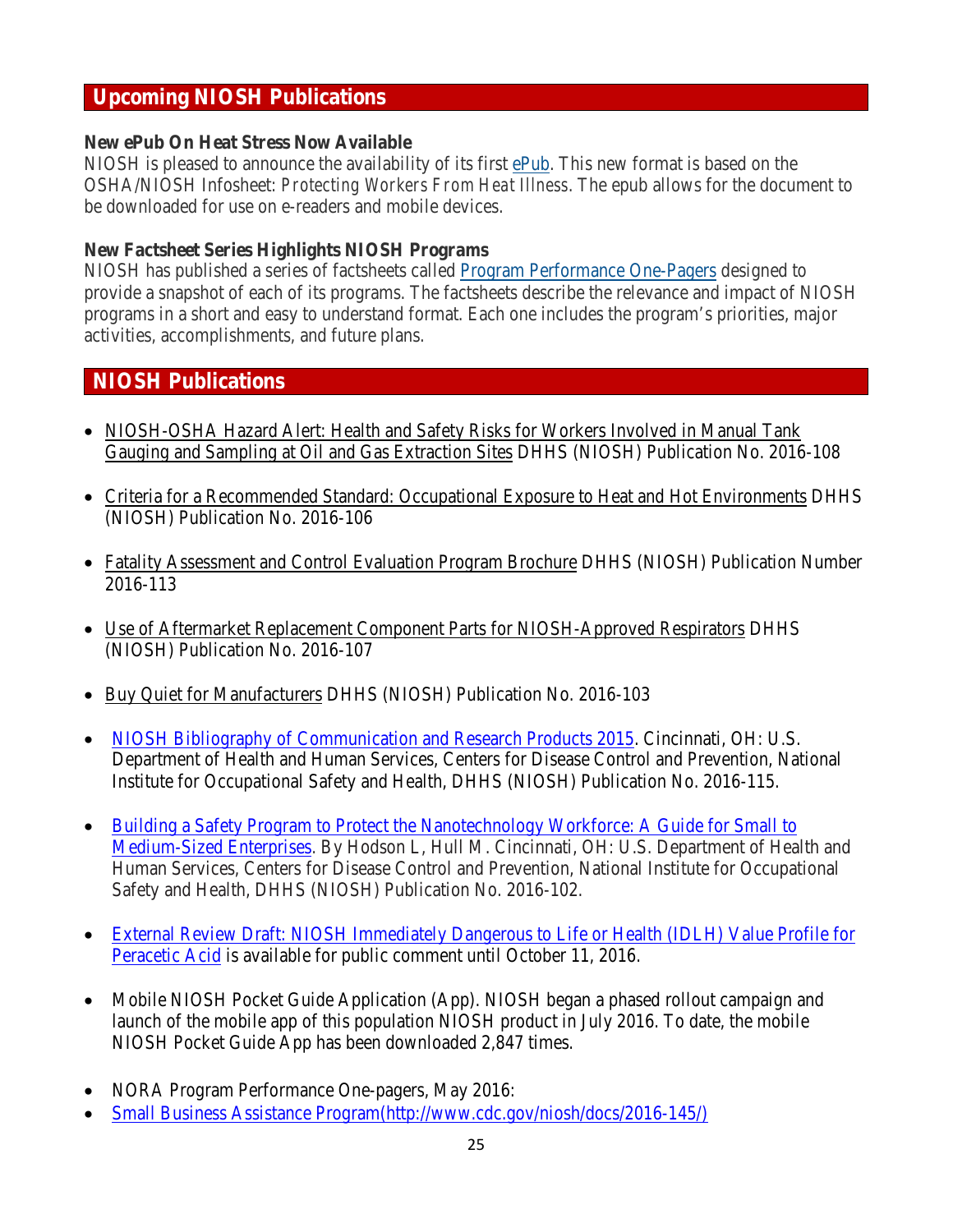## **Upcoming NIOSH Publications**

### **New ePub On Heat Stress Now Available**

NIOSH is pleased to announce the availability of its first [ePub.](http://www.cdc.gov/niosh/docs/2011-174/default.html) This new format is based on the OSHA/NIOSH Infosheet: *Protecting Workers From Heat Illness*. The epub allows for the document to be downloaded for use on e-readers and mobile devices.

## **New Factsheet Series Highlights NIOSH Programs**

NIOSH has published a series of factsheets called [Program Performance One-Pagers](http://www.cdc.gov/niosh/docs/ppop/default.html) designed to provide a snapshot of each of its programs. The factsheets describe the relevance and impact of NIOSH programs in a short and easy to understand format. Each one includes the program's priorities, major activities, accomplishments, and future plans.

## **NIOSH Publications**

- [NIOSH-OSHA Hazard Alert: Health and Safety Risks for Workers Involved in Manual Tank](http://www.cdc.gov/niosh/docs/2016-108/default.html)  [Gauging and Sampling at Oil and Gas Extraction Sites](http://www.cdc.gov/niosh/docs/2016-108/default.html) DHHS (NIOSH) Publication No. 2016-108
- [Criteria for a Recommended Standard: Occupational](http://www.cdc.gov/niosh/docs/2016-106/default.html) Exposure to Heat and Hot Environments DHHS (NIOSH) Publication No. 2016-106
- [Fatality Assessment and Control Evaluation Program Brochure](http://www.cdc.gov/niosh/docs/2016-113/default.html) DHHS (NIOSH) Publication Number 2016-113
- [Use of Aftermarket Replacement Component Parts for NIOSH-Approved Respirators](http://www.cdc.gov/niosh/docs/2016-107/default.html) DHHS (NIOSH) Publication No. 2016-107
- [Buy Quiet for Manufacturers](http://www.cdc.gov/niosh/docs/video/2016-103/default.html) DHHS (NIOSH) Publication No. 2016-103
- [NIOSH Bibliography of Communication and Research Products 2015.](http://www.cdc.gov/niosh/docs/2016-115/) Cincinnati, OH: U.S. Department of Health and Human Services, Centers for Disease Control and Prevention, National Institute for Occupational Safety and Health, DHHS (NIOSH) Publication No. 2016-115.
- [Building a Safety Program to Protect the Nanotechnology Workforce: A Guide for Small to](http://www.cdc.gov/niosh/docs/2016-102/pdfs/2016-102.pdf)  [Medium-Sized Enterprises.](http://www.cdc.gov/niosh/docs/2016-102/pdfs/2016-102.pdf) By Hodson L, Hull M. Cincinnati, OH: U.S. Department of Health and Human Services, Centers for Disease Control and Prevention, National Institute for Occupational Safety and Health, DHHS (NIOSH) Publication No. 2016-102.
- [External Review Draft: NIOSH Immediately Dangerous to Life or Health \(IDLH\) Value Profile for](https://www.cdc.gov/niosh/docket/review/docket156b/default.html)  [Peracetic Acid](https://www.cdc.gov/niosh/docket/review/docket156b/default.html) is available for public comment until October 11, 2016.
- Mobile NIOSH Pocket Guide Application (App). NIOSH began a phased rollout campaign and launch of the mobile app of this population NIOSH product in July 2016. To date, the mobile NIOSH Pocket Guide App has been downloaded 2,847 times.
- NORA Program Performance One-pagers, May 2016:
- [Small Business Assistance Program\(http://www.cdc.gov/niosh/docs/2016-145/\)](http://www.cdc.gov/niosh/docs/2016-145/)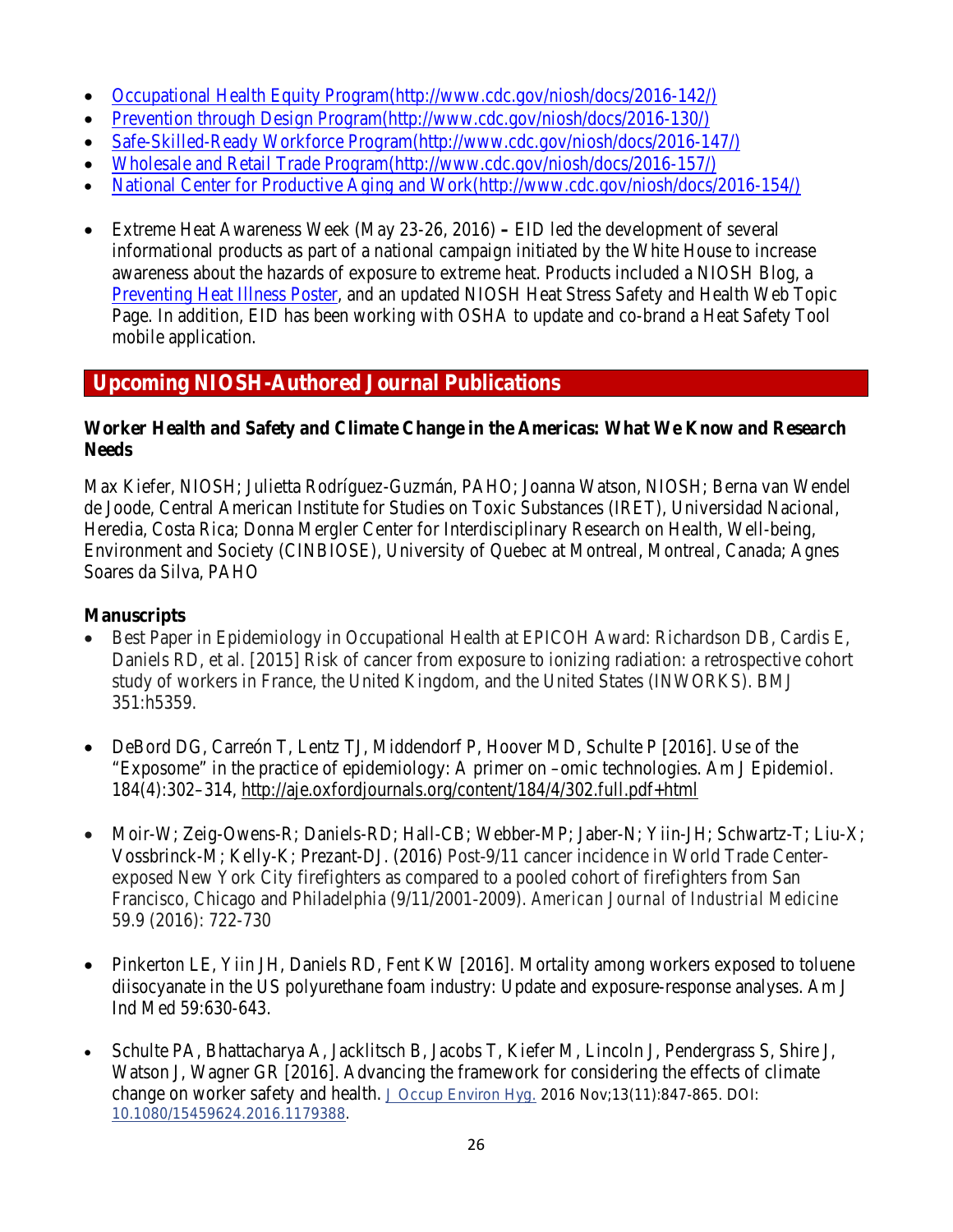- [Occupational Health Equity Program\(http://www.cdc.gov/niosh/docs/2016-142/\)](http://www.cdc.gov/niosh/docs/2016-142/)
- [Prevention through Design Program\(http://www.cdc.gov/niosh/docs/2016-130/\)](http://www.cdc.gov/niosh/docs/2016-130/)
- [Safe-Skilled-Ready Workforce Program\(http://www.cdc.gov/niosh/docs/2016-147/\)](http://www.cdc.gov/niosh/docs/2016-147/)
- [Wholesale and Retail Trade Program\(http://www.cdc.gov/niosh/docs/2016-157/\)](http://www.cdc.gov/niosh/docs/2016-157/)
- [National Center for Productive Aging and Work\(http://www.cdc.gov/niosh/docs/2016-154/\)](http://www.cdc.gov/niosh/docs/2016-154/)
- Extreme Heat Awareness Week (May 23-26, 2016) **–** EID led the development of several informational products as part of a national campaign initiated by the White House to increase awareness about the hazards of exposure to extreme heat. Products included a NIOSH Blog, a [Preventing Heat Illness Poster,](http://www.cdc.gov/niosh/docs/2016-151/) and an updated NIOSH Heat Stress Safety and Health Web Topic Page. In addition, EID has been working with OSHA to update and co-brand a Heat Safety Tool mobile application.

## **Upcoming NIOSH-Authored Journal Publications**

## **Worker Health and Safety and Climate Change in the Americas: What We Know and Research Needs**

Max Kiefer, NIOSH; Julietta Rodríguez-Guzmán, PAHO; Joanna Watson, NIOSH; Berna van Wendel de Joode, Central American Institute for Studies on Toxic Substances (IRET), Universidad Nacional, Heredia, Costa Rica; Donna Mergler Center for Interdisciplinary Research on Health, Well-being, Environment and Society (CINBIOSE), University of Quebec at Montreal, Montreal, Canada; Agnes Soares da Silva, PAHO

## **Manuscripts**

- Best Paper in Epidemiology in Occupational Health at EPICOH Award: Richardson DB, Cardis E, Daniels RD, et al. [2015] Risk of cancer from exposure to ionizing radiation: a retrospective cohort study of workers in France, the United Kingdom, and the United States (INWORKS). BMJ 351:h5359.
- DeBord DG, Carreón T, Lentz TJ, Middendorf P, Hoover MD, Schulte P [2016]. Use of the "Exposome" in the practice of epidemiology: A primer on –omic technologies. Am J Epidemiol. 184(4):302–314,<http://aje.oxfordjournals.org/content/184/4/302.full.pdf+html>
- Moir-W; Zeig-Owens-R; Daniels-RD; Hall-CB; Webber-MP; Jaber-N; Yiin-JH; Schwartz-T; Liu-X; Vossbrinck-M; Kelly-K; Prezant-DJ. (2016) Post‐9/11 cancer incidence in World Trade Center‐ exposed New York City firefighters as compared to a pooled cohort of firefighters from San Francisco, Chicago and Philadelphia (9/11/2001‐2009). *American Journal of Industrial Medicine* 59.9 (2016): 722-730
- Pinkerton LE, Yiin JH, Daniels RD, Fent KW [2016]. Mortality among workers exposed to toluene diisocyanate in the US polyurethane foam industry: Update and exposure-response analyses. Am J Ind Med 59:630-643.
- Schulte PA, Bhattacharya A, Jacklitsch B, Jacobs T, Kiefer M, Lincoln J, Pendergrass S, Shire J, Watson J, Wagner GR [2016]. Advancing the framework for considering the effects of climate change on worker safety and health. [J Occup Environ Hyg.](http://www.ncbi.nlm.nih.gov/pubmed/27115294) 2016 Nov;13(11):847-865. DOI: [10.1080/15459624.2016.1179388.](http://dx.doi.org/10.1080/15459624.2016.1179388)